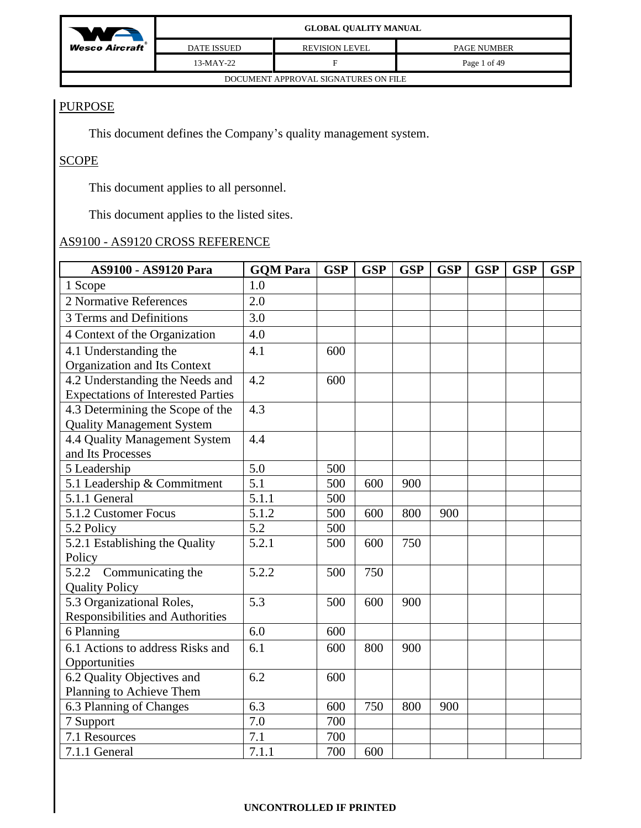

# **PURPOSE**

This document defines the Company's quality management system.

# SCOPE

This document applies to all personnel.

This document applies to the listed sites.

# AS9100 - AS9120 CROSS REFERENCE

| AS9100 - AS9120 Para                                                         | <b>GOM Para</b> | <b>GSP</b> | <b>GSP</b> | <b>GSP</b> | <b>GSP</b> | <b>GSP</b> | <b>GSP</b> | <b>GSP</b> |
|------------------------------------------------------------------------------|-----------------|------------|------------|------------|------------|------------|------------|------------|
| 1 Scope                                                                      | 1.0             |            |            |            |            |            |            |            |
| 2 Normative References                                                       | 2.0             |            |            |            |            |            |            |            |
| 3 Terms and Definitions                                                      | 3.0             |            |            |            |            |            |            |            |
| 4 Context of the Organization                                                | 4.0             |            |            |            |            |            |            |            |
| 4.1 Understanding the<br>Organization and Its Context                        | 4.1             | 600        |            |            |            |            |            |            |
| 4.2 Understanding the Needs and<br><b>Expectations of Interested Parties</b> | 4.2             | 600        |            |            |            |            |            |            |
| 4.3 Determining the Scope of the<br><b>Quality Management System</b>         | 4.3             |            |            |            |            |            |            |            |
| 4.4 Quality Management System<br>and Its Processes                           | 4.4             |            |            |            |            |            |            |            |
| 5 Leadership                                                                 | 5.0             | 500        |            |            |            |            |            |            |
| 5.1 Leadership & Commitment                                                  | 5.1             | 500        | 600        | 900        |            |            |            |            |
| 5.1.1 General                                                                | 5.1.1           | 500        |            |            |            |            |            |            |
| 5.1.2 Customer Focus                                                         | 5.1.2           | 500        | 600        | 800        | 900        |            |            |            |
| 5.2 Policy                                                                   | 5.2             | 500        |            |            |            |            |            |            |
| 5.2.1 Establishing the Quality<br>Policy                                     | 5.2.1           | 500        | 600        | 750        |            |            |            |            |
| 5.2.2<br>Communicating the<br><b>Quality Policy</b>                          | 5.2.2           | 500        | 750        |            |            |            |            |            |
| 5.3 Organizational Roles,<br>Responsibilities and Authorities                | 5.3             | 500        | 600        | 900        |            |            |            |            |
| 6 Planning                                                                   | 6.0             | 600        |            |            |            |            |            |            |
| 6.1 Actions to address Risks and<br>Opportunities                            | 6.1             | 600        | 800        | 900        |            |            |            |            |
| 6.2 Quality Objectives and                                                   | 6.2             | 600        |            |            |            |            |            |            |
| Planning to Achieve Them                                                     |                 |            |            |            |            |            |            |            |
| 6.3 Planning of Changes                                                      | 6.3             | 600        | 750        | 800        | 900        |            |            |            |
| 7 Support                                                                    | 7.0             | 700        |            |            |            |            |            |            |
| 7.1 Resources                                                                | 7.1             | 700        |            |            |            |            |            |            |
| 7.1.1 General                                                                | 7.1.1           | 700        | 600        |            |            |            |            |            |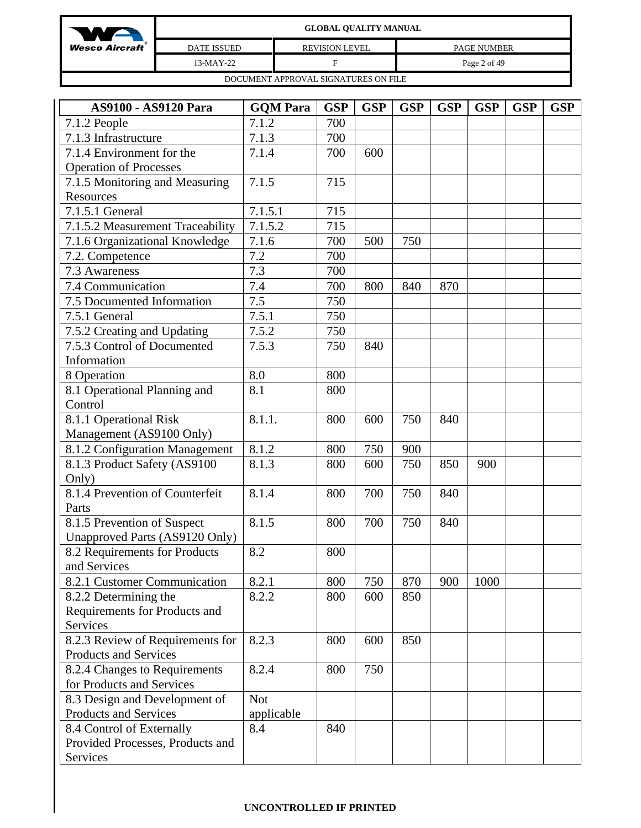| WA                      | <b>GLOBAL QUALITY MANUAL</b>         |                       |                    |  |  |  |  |  |
|-------------------------|--------------------------------------|-----------------------|--------------------|--|--|--|--|--|
| <b>Wesco Aircraft</b> ® | <b>DATE ISSUED</b>                   | <b>REVISION LEVEL</b> | <b>PAGE NUMBER</b> |  |  |  |  |  |
|                         | $13-MAY-22$                          |                       | Page 2 of 49       |  |  |  |  |  |
|                         | DOCUMENT APPROVAL SIGNATURES ON FILE |                       |                    |  |  |  |  |  |

| AS9100 - AS9120 Para             | <b>GQM</b> Para | <b>GSP</b> | <b>GSP</b> | <b>GSP</b> | <b>GSP</b> | <b>GSP</b> | <b>GSP</b> | <b>GSP</b> |
|----------------------------------|-----------------|------------|------------|------------|------------|------------|------------|------------|
| 7.1.2 People                     | 7.1.2           | 700        |            |            |            |            |            |            |
| 7.1.3 Infrastructure             | 7.1.3           | 700        |            |            |            |            |            |            |
| 7.1.4 Environment for the        | 7.1.4           | 700        | 600        |            |            |            |            |            |
| <b>Operation of Processes</b>    |                 |            |            |            |            |            |            |            |
| 7.1.5 Monitoring and Measuring   | 7.1.5           | 715        |            |            |            |            |            |            |
| Resources                        |                 |            |            |            |            |            |            |            |
| 7.1.5.1 General                  | 7.1.5.1         | 715        |            |            |            |            |            |            |
| 7.1.5.2 Measurement Traceability | 7.1.5.2         | 715        |            |            |            |            |            |            |
| 7.1.6 Organizational Knowledge   | 7.1.6           | 700        | 500        | 750        |            |            |            |            |
| 7.2. Competence                  | 7.2             | 700        |            |            |            |            |            |            |
| 7.3 Awareness                    | 7.3             | 700        |            |            |            |            |            |            |
| 7.4 Communication                | 7.4             | 700        | 800        | 840        | 870        |            |            |            |
| 7.5 Documented Information       | 7.5             | 750        |            |            |            |            |            |            |
| 7.5.1 General                    | 7.5.1           | 750        |            |            |            |            |            |            |
| 7.5.2 Creating and Updating      | 7.5.2           | 750        |            |            |            |            |            |            |
| 7.5.3 Control of Documented      | 7.5.3           | 750        | 840        |            |            |            |            |            |
| Information                      |                 |            |            |            |            |            |            |            |
| 8 Operation                      | 8.0             | 800        |            |            |            |            |            |            |
| 8.1 Operational Planning and     | 8.1             | 800        |            |            |            |            |            |            |
| Control                          |                 |            |            |            |            |            |            |            |
| 8.1.1 Operational Risk           | 8.1.1.          | 800        | 600        | 750        | 840        |            |            |            |
| Management (AS9100 Only)         |                 |            |            |            |            |            |            |            |
| 8.1.2 Configuration Management   | 8.1.2           | 800        | 750        | 900        |            |            |            |            |
| 8.1.3 Product Safety (AS9100     | 8.1.3           | 800        | 600        | 750        | 850        | 900        |            |            |
| Only)                            |                 |            |            |            |            |            |            |            |
| 8.1.4 Prevention of Counterfeit  | 8.1.4           | 800        | 700        | 750        | 840        |            |            |            |
| Parts                            |                 |            |            |            |            |            |            |            |
| 8.1.5 Prevention of Suspect      | 8.1.5           | 800        | 700        | 750        | 840        |            |            |            |
| Unapproved Parts (AS9120 Only)   |                 |            |            |            |            |            |            |            |
| 8.2 Requirements for Products    | 8.2             | 800        |            |            |            |            |            |            |
| and Services                     |                 |            |            |            |            |            |            |            |
| 8.2.1 Customer Communication     | 8.2.1           | 800        | 750        | 870        | 900        | 1000       |            |            |
| 8.2.2 Determining the            | 8.2.2           | 800        | 600        | 850        |            |            |            |            |
| Requirements for Products and    |                 |            |            |            |            |            |            |            |
| Services                         |                 |            |            |            |            |            |            |            |
| 8.2.3 Review of Requirements for | 8.2.3           | 800        | 600        | 850        |            |            |            |            |
| Products and Services            |                 |            |            |            |            |            |            |            |
| 8.2.4 Changes to Requirements    | 8.2.4           | 800        | 750        |            |            |            |            |            |
| for Products and Services        |                 |            |            |            |            |            |            |            |
| 8.3 Design and Development of    | <b>Not</b>      |            |            |            |            |            |            |            |
| Products and Services            | applicable      |            |            |            |            |            |            |            |
| 8.4 Control of Externally        | 8.4             | 840        |            |            |            |            |            |            |
| Provided Processes, Products and |                 |            |            |            |            |            |            |            |
| Services                         |                 |            |            |            |            |            |            |            |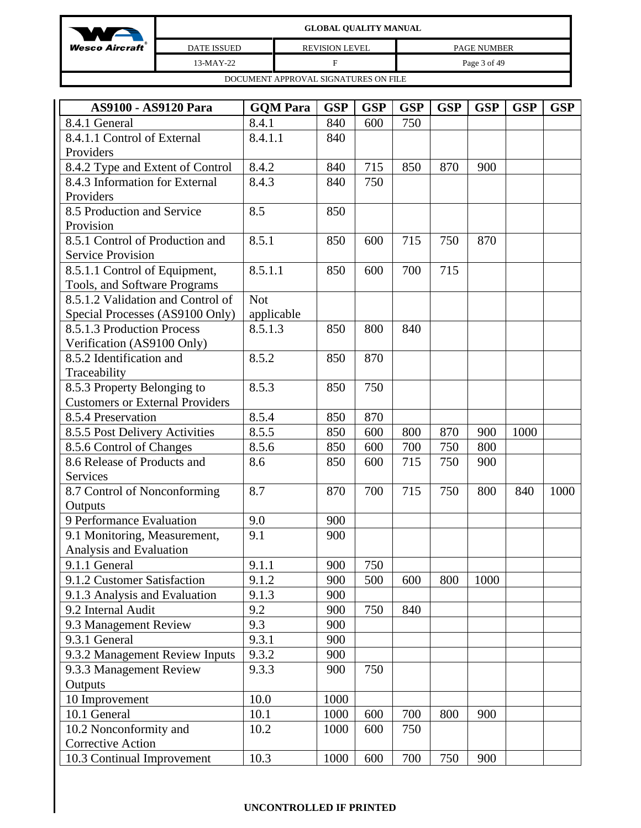| W                       | <b>GLOBAL QUALITY MANUAL</b>         |                       |                    |  |  |  |  |  |
|-------------------------|--------------------------------------|-----------------------|--------------------|--|--|--|--|--|
| <b>Wesco Aircraft</b> ® | <b>DATE ISSUED</b>                   | <b>REVISION LEVEL</b> | <b>PAGE NUMBER</b> |  |  |  |  |  |
|                         | 13-MAY-22                            | F                     | Page 3 of 49       |  |  |  |  |  |
|                         | DOCUMENT APPROVAL SIGNATURES ON FILE |                       |                    |  |  |  |  |  |

| AS9100 - AS9120 Para                   | <b>GQM Para</b> | <b>GSP</b> | <b>GSP</b> | <b>GSP</b> | <b>GSP</b> | <b>GSP</b> | <b>GSP</b> | <b>GSP</b> |
|----------------------------------------|-----------------|------------|------------|------------|------------|------------|------------|------------|
| 8.4.1 General                          | 8.4.1           | 840        | 600        | 750        |            |            |            |            |
| 8.4.1.1 Control of External            | 8.4.1.1         | 840        |            |            |            |            |            |            |
| Providers                              |                 |            |            |            |            |            |            |            |
| 8.4.2 Type and Extent of Control       | 8.4.2           | 840        | 715        | 850        | 870        | 900        |            |            |
| 8.4.3 Information for External         | 8.4.3           | 840        | 750        |            |            |            |            |            |
| Providers                              |                 |            |            |            |            |            |            |            |
| 8.5 Production and Service             | 8.5             | 850        |            |            |            |            |            |            |
| Provision                              |                 |            |            |            |            |            |            |            |
| 8.5.1 Control of Production and        | 8.5.1           | 850        | 600        | 715        | 750        | 870        |            |            |
| <b>Service Provision</b>               |                 |            |            |            |            |            |            |            |
| 8.5.1.1 Control of Equipment,          | 8.5.1.1         | 850        | 600        | 700        | 715        |            |            |            |
| Tools, and Software Programs           |                 |            |            |            |            |            |            |            |
| 8.5.1.2 Validation and Control of      | <b>Not</b>      |            |            |            |            |            |            |            |
| Special Processes (AS9100 Only)        | applicable      |            |            |            |            |            |            |            |
| 8.5.1.3 Production Process             | 8.5.1.3         | 850        | 800        | 840        |            |            |            |            |
| Verification (AS9100 Only)             |                 |            |            |            |            |            |            |            |
| 8.5.2 Identification and               | 8.5.2           | 850        | 870        |            |            |            |            |            |
| Traceability                           |                 |            |            |            |            |            |            |            |
| 8.5.3 Property Belonging to            | 8.5.3           | 850        | 750        |            |            |            |            |            |
| <b>Customers or External Providers</b> |                 |            |            |            |            |            |            |            |
| 8.5.4 Preservation                     | 8.5.4           | 850        | 870        |            |            |            |            |            |
| 8.5.5 Post Delivery Activities         | 8.5.5           | 850        | 600        | 800        | 870        | 900        | 1000       |            |
| 8.5.6 Control of Changes               | 8.5.6           | 850        | 600        | 700        | 750        | 800        |            |            |
| 8.6 Release of Products and            | 8.6             | 850        | 600        | 715        | 750        | 900        |            |            |
| Services                               |                 |            |            |            |            |            |            |            |
| 8.7 Control of Nonconforming           | 8.7             | 870        | 700        | 715        | 750        | 800        | 840        | 1000       |
| Outputs                                |                 |            |            |            |            |            |            |            |
| 9 Performance Evaluation               | 9.0             | 900        |            |            |            |            |            |            |
| 9.1 Monitoring, Measurement,           | 9.1             | 900        |            |            |            |            |            |            |
| Analysis and Evaluation                |                 |            |            |            |            |            |            |            |
| 9.1.1 General                          | 9.1.1           | 900        | 750        |            |            |            |            |            |
| 9.1.2 Customer Satisfaction            | 9.1.2           | 900        | 500        | 600        | 800        | 1000       |            |            |
| 9.1.3 Analysis and Evaluation          | 9.1.3           | 900        |            |            |            |            |            |            |
| 9.2 Internal Audit                     | 9.2             | 900        | 750        | 840        |            |            |            |            |
| 9.3 Management Review                  | 9.3             | 900        |            |            |            |            |            |            |
| 9.3.1 General                          | 9.3.1           | 900        |            |            |            |            |            |            |
| 9.3.2 Management Review Inputs         | 9.3.2           | 900        |            |            |            |            |            |            |
| 9.3.3 Management Review                | 9.3.3           | 900        | 750        |            |            |            |            |            |
| Outputs                                |                 |            |            |            |            |            |            |            |
| 10 Improvement                         | 10.0            | 1000       |            |            |            |            |            |            |
| 10.1 General                           | 10.1            | 1000       | 600        | 700        | 800        | 900        |            |            |
| 10.2 Nonconformity and                 | 10.2            | 1000       | 600        | 750        |            |            |            |            |
| <b>Corrective Action</b>               |                 |            |            |            |            |            |            |            |
| 10.3 Continual Improvement             | 10.3            | 1000       | 600        | 700        | 750        | 900        |            |            |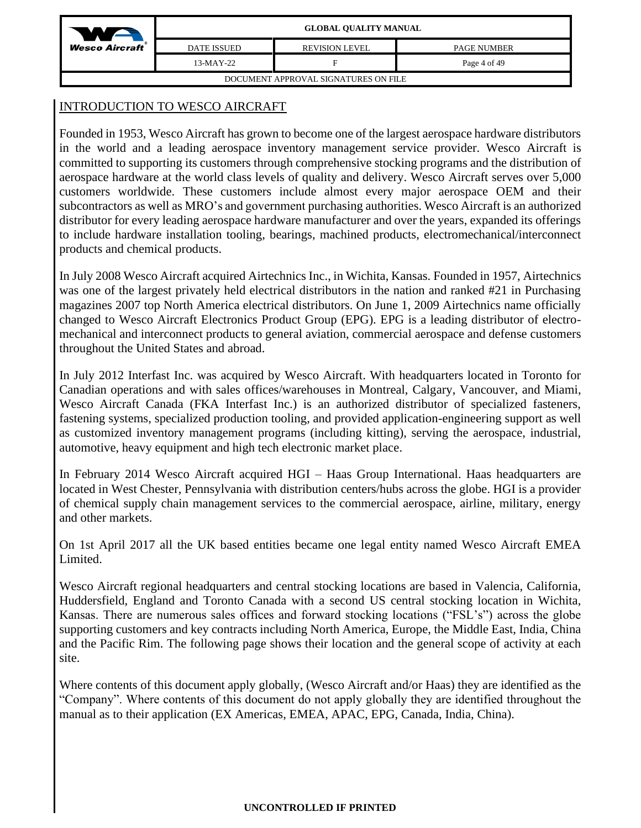| We                      | <b>GLOBAL QUALITY MANUAL</b>         |                       |                    |  |  |  |  |  |
|-------------------------|--------------------------------------|-----------------------|--------------------|--|--|--|--|--|
| <b>Wesco Aircraft</b> ® | <b>DATE ISSUED</b>                   | <b>REVISION LEVEL</b> | <b>PAGE NUMBER</b> |  |  |  |  |  |
|                         | $13-MAY-22$                          | F                     | Page 4 of 49       |  |  |  |  |  |
|                         | DOCUMENT APPROVAL SIGNATURES ON FILE |                       |                    |  |  |  |  |  |

# INTRODUCTION TO WESCO AIRCRAFT

Founded in 1953, Wesco Aircraft has grown to become one of the largest aerospace hardware distributors in the world and a leading aerospace inventory management service provider. Wesco Aircraft is committed to supporting its customers through comprehensive stocking programs and the distribution of aerospace hardware at the world class levels of quality and delivery. Wesco Aircraft serves over 5,000 customers worldwide. These customers include almost every major aerospace OEM and their subcontractors as well as MRO's and government purchasing authorities. Wesco Aircraft is an authorized distributor for every leading aerospace hardware manufacturer and over the years, expanded its offerings to include hardware installation tooling, bearings, machined products, electromechanical/interconnect products and chemical products.

In July 2008 Wesco Aircraft acquired Airtechnics Inc., in Wichita, Kansas. Founded in 1957, Airtechnics was one of the largest privately held electrical distributors in the nation and ranked #21 in Purchasing magazines 2007 top North America electrical distributors. On June 1, 2009 Airtechnics name officially changed to Wesco Aircraft Electronics Product Group (EPG). EPG is a leading distributor of electromechanical and interconnect products to general aviation, commercial aerospace and defense customers throughout the United States and abroad.

In July 2012 Interfast Inc. was acquired by Wesco Aircraft. With headquarters located in Toronto for Canadian operations and with sales offices/warehouses in Montreal, Calgary, Vancouver, and Miami, Wesco Aircraft Canada (FKA Interfast Inc.) is an authorized distributor of specialized fasteners, fastening systems, specialized production tooling, and provided application-engineering support as well as customized inventory management programs (including kitting), serving the aerospace, industrial, automotive, heavy equipment and high tech electronic market place.

In February 2014 Wesco Aircraft acquired HGI – Haas Group International. Haas headquarters are located in West Chester, Pennsylvania with distribution centers/hubs across the globe. HGI is a provider of chemical supply chain management services to the commercial aerospace, airline, military, energy and other markets.

On 1st April 2017 all the UK based entities became one legal entity named Wesco Aircraft EMEA Limited.

Wesco Aircraft regional headquarters and central stocking locations are based in Valencia, California, Huddersfield, England and Toronto Canada with a second US central stocking location in Wichita, Kansas. There are numerous sales offices and forward stocking locations ("FSL's") across the globe supporting customers and key contracts including North America, Europe, the Middle East, India, China and the Pacific Rim. The following page shows their location and the general scope of activity at each site.

Where contents of this document apply globally, (Wesco Aircraft and/or Haas) they are identified as the "Company". Where contents of this document do not apply globally they are identified throughout the manual as to their application (EX Americas, EMEA, APAC, EPG, Canada, India, China).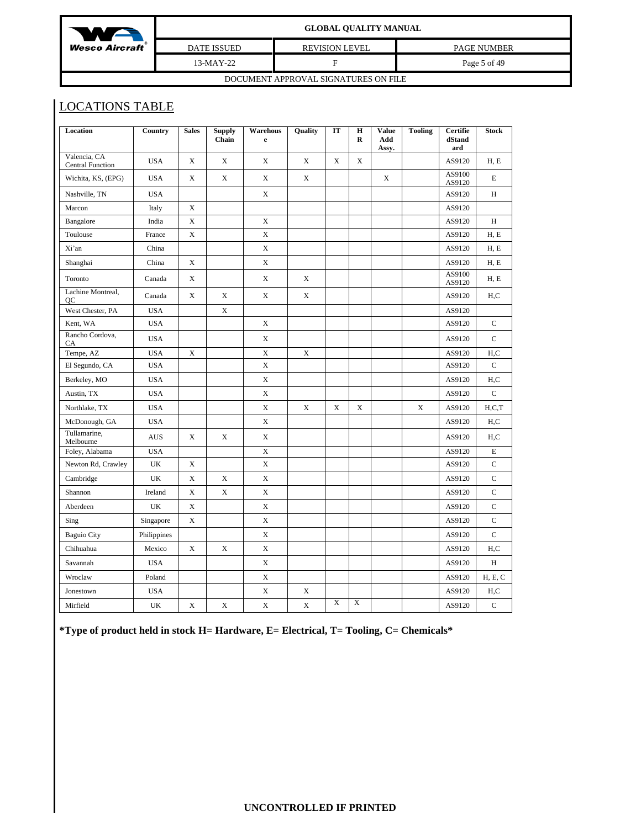| $M^+$                                | <b>GLOBAL QUALITY MANUAL</b> |                       |                    |  |  |  |  |
|--------------------------------------|------------------------------|-----------------------|--------------------|--|--|--|--|
| <b>Wesco Aircraft</b> ®              | <b>DATE ISSUED</b>           | <b>REVISION LEVEL</b> | <b>PAGE NUMBER</b> |  |  |  |  |
|                                      | 13-MAY-22                    | F                     | Page 5 of 49       |  |  |  |  |
| DOCUMENT APPROVAL SIGNATURES ON FILE |                              |                       |                    |  |  |  |  |

# LOCATIONS TABLE

| Location                                | Country     | <b>Sales</b> | <b>Supply</b><br>Chain | Warehous<br>$\mathbf e$ | Quality     | IT          | $\mathbf H$<br>$\mathbf R$ | <b>Value</b><br>Add<br>Assy. | <b>Tooling</b> | Certifie<br>dStand<br>ard | <b>Stock</b>                   |
|-----------------------------------------|-------------|--------------|------------------------|-------------------------|-------------|-------------|----------------------------|------------------------------|----------------|---------------------------|--------------------------------|
| Valencia, CA<br><b>Central Function</b> | <b>USA</b>  | X            | X                      | X                       | $\mathbf X$ | X           | X                          |                              |                | AS9120                    | H, E                           |
| Wichita, KS, (EPG)                      | <b>USA</b>  | X            | $\mathbf X$            | X                       | X           |             |                            | X                            |                | AS9100<br>AS9120          | E                              |
| Nashville, TN                           | <b>USA</b>  |              |                        | X                       |             |             |                            |                              |                | AS9120                    | H                              |
| Marcon                                  | Italy       | X            |                        |                         |             |             |                            |                              |                | AS9120                    |                                |
| Bangalore                               | India       | $\mathbf X$  |                        | $\mathbf X$             |             |             |                            |                              |                | AS9120                    | H                              |
| Toulouse                                | France      | X            |                        | X                       |             |             |                            |                              |                | AS9120                    | H, E                           |
| Xi'an                                   | China       |              |                        | X                       |             |             |                            |                              |                | AS9120                    | H, E                           |
| Shanghai                                | China       | X            |                        | X                       |             |             |                            |                              |                | AS9120                    | H, E                           |
| Toronto                                 | Canada      | X            |                        | X                       | X           |             |                            |                              |                | AS9100<br>AS9120          | H, E                           |
| Lachine Montreal,<br>QC                 | Canada      | X            | $\mathbf X$            | X                       | $\mathbf X$ |             |                            |                              |                | AS9120                    | H,C                            |
| West Chester, PA                        | <b>USA</b>  |              | $\mathbf X$            |                         |             |             |                            |                              |                | AS9120                    |                                |
| Kent, WA                                | <b>USA</b>  |              |                        | X                       |             |             |                            |                              |                | AS9120                    | $\mathbf C$                    |
| Rancho Cordova,<br>CA                   | <b>USA</b>  |              |                        | $\mathbf X$             |             |             |                            |                              |                | AS9120                    | $\mathbf C$                    |
| Tempe, AZ                               | <b>USA</b>  | X            |                        | X                       | $\mathbf X$ |             |                            |                              |                | AS9120                    | H.C                            |
| El Segundo, CA                          | <b>USA</b>  |              |                        | $\mathbf X$             |             |             |                            |                              |                | AS9120                    | $\mathbf C$                    |
| Berkeley, MO                            | <b>USA</b>  |              |                        | X                       |             |             |                            |                              |                | AS9120                    | H.C                            |
| Austin, TX                              | <b>USA</b>  |              |                        | $\mathbf X$             |             |             |                            |                              |                | AS9120                    | $\mathbf C$                    |
| Northlake, TX                           | <b>USA</b>  |              |                        | X                       | $\mathbf X$ | X           | X                          |                              | X              | AS9120                    | H.C.T                          |
| McDonough, GA                           | <b>USA</b>  |              |                        | X                       |             |             |                            |                              |                | AS9120                    | H,C                            |
| Tullamarine,<br>Melbourne               | <b>AUS</b>  | X            | $\mathbf X$            | X                       |             |             |                            |                              |                | AS9120                    | H,C                            |
| Foley, Alabama                          | <b>USA</b>  |              |                        | X                       |             |             |                            |                              |                | AS9120                    | E                              |
| Newton Rd, Crawley                      | UK          | X            |                        | $\mathbf X$             |             |             |                            |                              |                | AS9120                    | $\mathbf C$                    |
| Cambridge                               | UK          | X            | X                      | X                       |             |             |                            |                              |                | AS9120                    | $\mathbf C$                    |
| Shannon                                 | Ireland     | X            | X                      | X                       |             |             |                            |                              |                | AS9120                    | $\mathbf C$                    |
| Aberdeen                                | UK          | X            |                        | X                       |             |             |                            |                              |                | AS9120                    | $\mathbf C$                    |
| Sing                                    | Singapore   | X            |                        | $\mathbf X$             |             |             |                            |                              |                | AS9120                    | $\mathbf C$                    |
| <b>Baguio City</b>                      | Philippines |              |                        | X                       |             |             |                            |                              |                | AS9120                    | $\mathbf C$                    |
| Chihuahua                               | Mexico      | X            | X                      | X                       |             |             |                            |                              |                | AS9120                    | H,C                            |
| Savannah                                | <b>USA</b>  |              |                        | X                       |             |             |                            |                              |                | AS9120                    | H                              |
| Wroclaw                                 | Poland      |              |                        | X                       |             |             |                            |                              |                | AS9120                    | <b>H</b> , <b>E</b> , <b>C</b> |
| Jonestown                               | <b>USA</b>  |              |                        | X                       | X           |             |                            |                              |                | AS9120                    | H,C                            |
| Mirfield                                | UK          | X            | X                      | $\mathbf X$             | $\mathbf X$ | $\mathbf X$ | $\mathbf X$                |                              |                | AS9120                    | $\mathbf C$                    |

**\*Type of product held in stock H= Hardware, E= Electrical, T= Tooling, C= Chemicals\***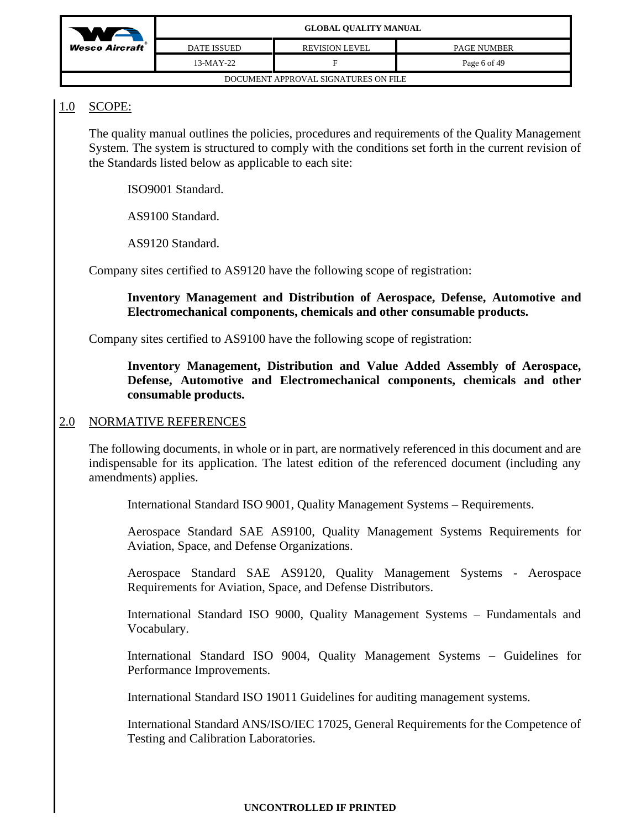

| DOCUMENT APPROVAL SIGNATURES ON FILE |  |
|--------------------------------------|--|

# 1.0 SCOPE:

The quality manual outlines the policies, procedures and requirements of the Quality Management System. The system is structured to comply with the conditions set forth in the current revision of the Standards listed below as applicable to each site:

ISO9001 Standard.

AS9100 Standard.

AS9120 Standard.

Company sites certified to AS9120 have the following scope of registration:

### **Inventory Management and Distribution of Aerospace, Defense, Automotive and Electromechanical components, chemicals and other consumable products.**

Company sites certified to AS9100 have the following scope of registration:

## **Inventory Management, Distribution and Value Added Assembly of Aerospace, Defense, Automotive and Electromechanical components, chemicals and other consumable products.**

## 2.0 NORMATIVE REFERENCES

The following documents, in whole or in part, are normatively referenced in this document and are indispensable for its application. The latest edition of the referenced document (including any amendments) applies.

International Standard ISO 9001, Quality Management Systems – Requirements.

Aerospace Standard SAE AS9100, Quality Management Systems Requirements for Aviation, Space, and Defense Organizations.

Aerospace Standard SAE AS9120, Quality Management Systems - Aerospace Requirements for Aviation, Space, and Defense Distributors.

International Standard ISO 9000, Quality Management Systems – Fundamentals and Vocabulary.

International Standard ISO 9004, Quality Management Systems – Guidelines for Performance Improvements.

International Standard ISO 19011 Guidelines for auditing management systems.

International Standard ANS/ISO/IEC 17025, General Requirements for the Competence of Testing and Calibration Laboratories.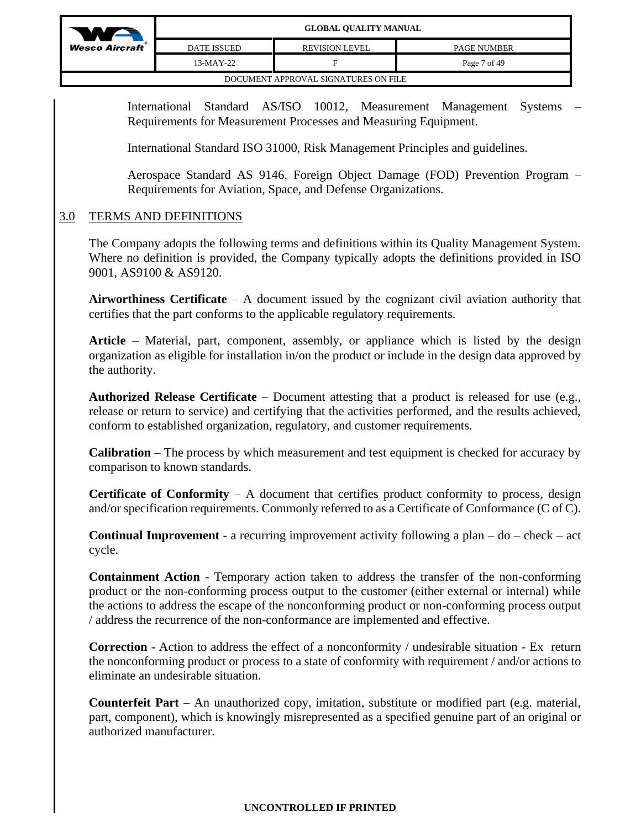

International Standard AS/ISO 10012, Measurement Management Systems – Requirements for Measurement Processes and Measuring Equipment.

International Standard ISO 31000, Risk Management Principles and guidelines.

Aerospace Standard AS 9146, Foreign Object Damage (FOD) Prevention Program – Requirements for Aviation, Space, and Defense Organizations.

# 3.0 TERMS AND DEFINITIONS

The Company adopts the following terms and definitions within its Quality Management System. Where no definition is provided, the Company typically adopts the definitions provided in ISO 9001, AS9100 & AS9120.

**Airworthiness Certificate** – A document issued by the cognizant civil aviation authority that certifies that the part conforms to the applicable regulatory requirements.

**Article** – Material, part, component, assembly, or appliance which is listed by the design organization as eligible for installation in/on the product or include in the design data approved by the authority.

**Authorized Release Certificate** – Document attesting that a product is released for use (e.g., release or return to service) and certifying that the activities performed, and the results achieved, conform to established organization, regulatory, and customer requirements.

**Calibration** – The process by which measurement and test equipment is checked for accuracy by comparison to known standards.

**Certificate of Conformity** – A document that certifies product conformity to process, design and/or specification requirements. Commonly referred to as a Certificate of Conformance (C of C).

**Continual Improvement** - a recurring improvement activity following a plan – do – check – act cycle.

**Containment Action** - Temporary action taken to address the transfer of the non-conforming product or the non-conforming process output to the customer (either external or internal) while the actions to address the escape of the nonconforming product or non-conforming process output / address the recurrence of the non-conformance are implemented and effective.

**Correction** - Action to address the effect of a nonconformity / undesirable situation - Ex return the nonconforming product or process to a state of conformity with requirement / and/or actions to eliminate an undesirable situation.

**Counterfeit Part** – An unauthorized copy, imitation, substitute or modified part (e.g. material, part, component), which is knowingly misrepresented as a specified genuine part of an original or authorized manufacturer.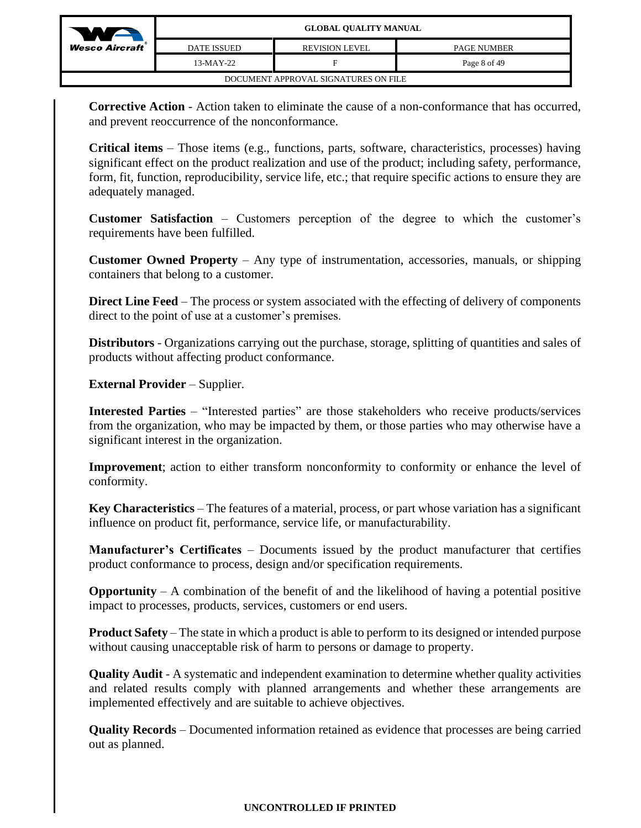

**Corrective Action** - Action taken to eliminate the cause of a non-conformance that has occurred, and prevent reoccurrence of the nonconformance.

**Critical items** – Those items (e.g., functions, parts, software, characteristics, processes) having significant effect on the product realization and use of the product; including safety, performance, form, fit, function, reproducibility, service life, etc.; that require specific actions to ensure they are adequately managed.

**Customer Satisfaction** – Customers perception of the degree to which the customer's requirements have been fulfilled.

**Customer Owned Property** – Any type of instrumentation, accessories, manuals, or shipping containers that belong to a customer.

**Direct Line Feed** – The process or system associated with the effecting of delivery of components direct to the point of use at a customer's premises.

**Distributors** - Organizations carrying out the purchase, storage, splitting of quantities and sales of products without affecting product conformance.

**External Provider** – Supplier.

**Interested Parties** – "Interested parties" are those stakeholders who receive products/services from the organization, who may be impacted by them, or those parties who may otherwise have a significant interest in the organization.

**Improvement**; action to either transform nonconformity to conformity or enhance the level of conformity.

**Key Characteristics** – The features of a material, process, or part whose variation has a significant influence on product fit, performance, service life, or manufacturability.

**Manufacturer's Certificates** – Documents issued by the product manufacturer that certifies product conformance to process, design and/or specification requirements.

**Opportunity** – A combination of the benefit of and the likelihood of having a potential positive impact to processes, products, services, customers or end users.

**Product Safety** – The state in which a product is able to perform to its designed or intended purpose without causing unacceptable risk of harm to persons or damage to property.

**Quality Audit** - A systematic and independent examination to determine whether quality activities and related results comply with planned arrangements and whether these arrangements are implemented effectively and are suitable to achieve objectives.

**Quality Records** – Documented information retained as evidence that processes are being carried out as planned.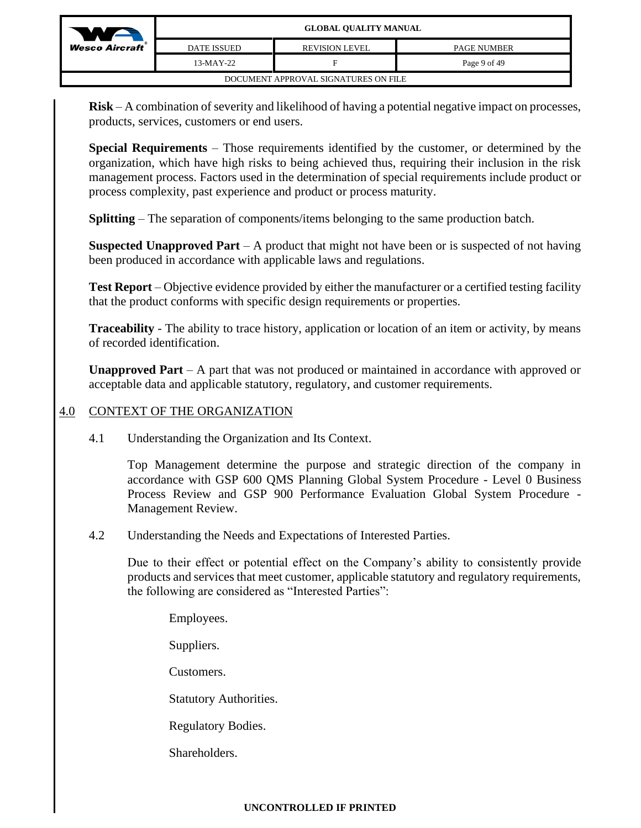| W                                    | <b>GLOBAL QUALITY MANUAL</b> |                       |                    |  |  |  |  |
|--------------------------------------|------------------------------|-----------------------|--------------------|--|--|--|--|
| <b>Wesco Aircraft</b> ®              | <b>DATE ISSUED</b>           | <b>REVISION LEVEL</b> | <b>PAGE NUMBER</b> |  |  |  |  |
|                                      | $13-MAY-22$                  | F                     | Page 9 of 49       |  |  |  |  |
| DOCUMENT APPROVAL SIGNATURES ON FILE |                              |                       |                    |  |  |  |  |

**Risk** – A combination of severity and likelihood of having a potential negative impact on processes, products, services, customers or end users.

**Special Requirements** – Those requirements identified by the customer, or determined by the organization, which have high risks to being achieved thus, requiring their inclusion in the risk management process. Factors used in the determination of special requirements include product or process complexity, past experience and product or process maturity.

**Splitting** – The separation of components/items belonging to the same production batch.

**Suspected Unapproved Part** – A product that might not have been or is suspected of not having been produced in accordance with applicable laws and regulations.

**Test Report** – Objective evidence provided by either the manufacturer or a certified testing facility that the product conforms with specific design requirements or properties.

**Traceability** - The ability to trace history, application or location of an item or activity, by means of recorded identification.

**Unapproved Part** – A part that was not produced or maintained in accordance with approved or acceptable data and applicable statutory, regulatory, and customer requirements.

# 4.0 CONTEXT OF THE ORGANIZATION

4.1 Understanding the Organization and Its Context.

Top Management determine the purpose and strategic direction of the company in accordance with GSP 600 QMS Planning Global System Procedure - Level 0 Business Process Review and GSP 900 Performance Evaluation Global System Procedure - Management Review.

4.2 Understanding the Needs and Expectations of Interested Parties.

Due to their effect or potential effect on the Company's ability to consistently provide products and services that meet customer, applicable statutory and regulatory requirements, the following are considered as "Interested Parties":

Employees.

Suppliers.

Customers.

Statutory Authorities.

Regulatory Bodies.

Shareholders.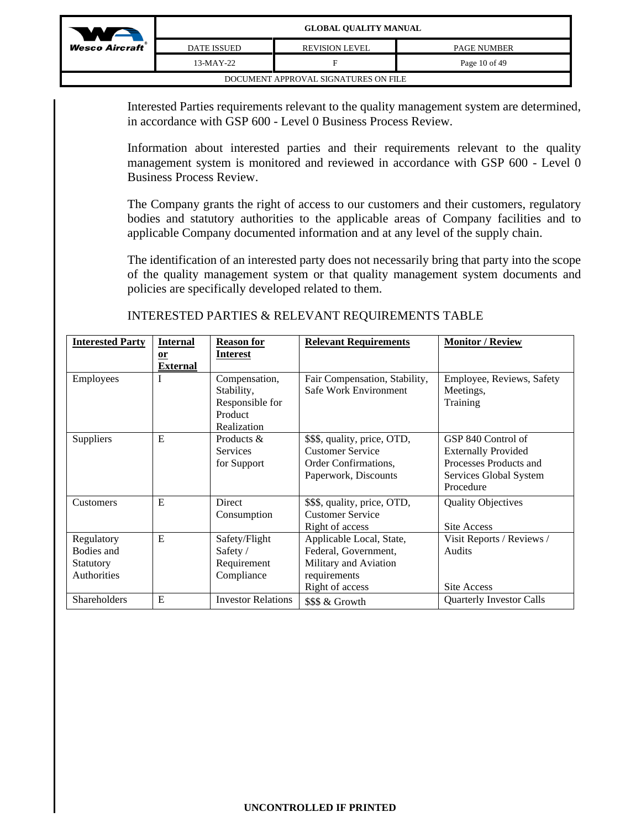

| DATE ISSUED                          | <b>REVISION LEVEL</b> | <b>PAGE NUMBER</b> |  |  |  |  |  |
|--------------------------------------|-----------------------|--------------------|--|--|--|--|--|
| 13-MAY-22                            |                       | Page 10 of 49      |  |  |  |  |  |
| DOCUMENT APPROVAL SIGNATURES ON FILE |                       |                    |  |  |  |  |  |

Interested Parties requirements relevant to the quality management system are determined, in accordance with GSP 600 - Level 0 Business Process Review.

Information about interested parties and their requirements relevant to the quality management system is monitored and reviewed in accordance with GSP 600 - Level 0 Business Process Review.

The Company grants the right of access to our customers and their customers, regulatory bodies and statutory authorities to the applicable areas of Company facilities and to applicable Company documented information and at any level of the supply chain.

The identification of an interested party does not necessarily bring that party into the scope of the quality management system or that quality management system documents and policies are specifically developed related to them.

| <b>Interested Party</b> | <b>Internal</b> | <b>Reason for</b>         | <b>Relevant Requirements</b>  | <b>Monitor / Review</b>         |
|-------------------------|-----------------|---------------------------|-------------------------------|---------------------------------|
|                         | $or$            | <b>Interest</b>           |                               |                                 |
|                         | <b>External</b> |                           |                               |                                 |
| Employees               | I               | Compensation,             | Fair Compensation, Stability, | Employee, Reviews, Safety       |
|                         |                 | Stability,                | Safe Work Environment         | Meetings,                       |
|                         |                 | Responsible for           |                               | Training                        |
|                         |                 | Product                   |                               |                                 |
|                         |                 | Realization               |                               |                                 |
| Suppliers               | E               | Products &                | \$\$\$, quality, price, OTD,  | GSP 840 Control of              |
|                         |                 | <b>Services</b>           | <b>Customer Service</b>       | <b>Externally Provided</b>      |
|                         |                 | for Support               | Order Confirmations,          | Processes Products and          |
|                         |                 |                           | Paperwork, Discounts          | Services Global System          |
|                         |                 |                           |                               | Procedure                       |
| Customers               | E               | <b>Direct</b>             | \$\$\$, quality, price, OTD,  | <b>Quality Objectives</b>       |
|                         |                 | Consumption               | <b>Customer Service</b>       |                                 |
|                         |                 |                           | Right of access               | Site Access                     |
| Regulatory              | E               | Safety/Flight             | Applicable Local, State,      | Visit Reports / Reviews /       |
| Bodies and              |                 | Safety /                  | Federal, Government,          | Audits                          |
| Statutory               |                 | Requirement               | Military and Aviation         |                                 |
| Authorities             |                 | Compliance                | requirements                  |                                 |
|                         |                 |                           | Right of access               | Site Access                     |
| <b>Shareholders</b>     | E               | <b>Investor Relations</b> | \$\$\$ & Growth               | <b>Quarterly Investor Calls</b> |

INTERESTED PARTIES & RELEVANT REQUIREMENTS TABLE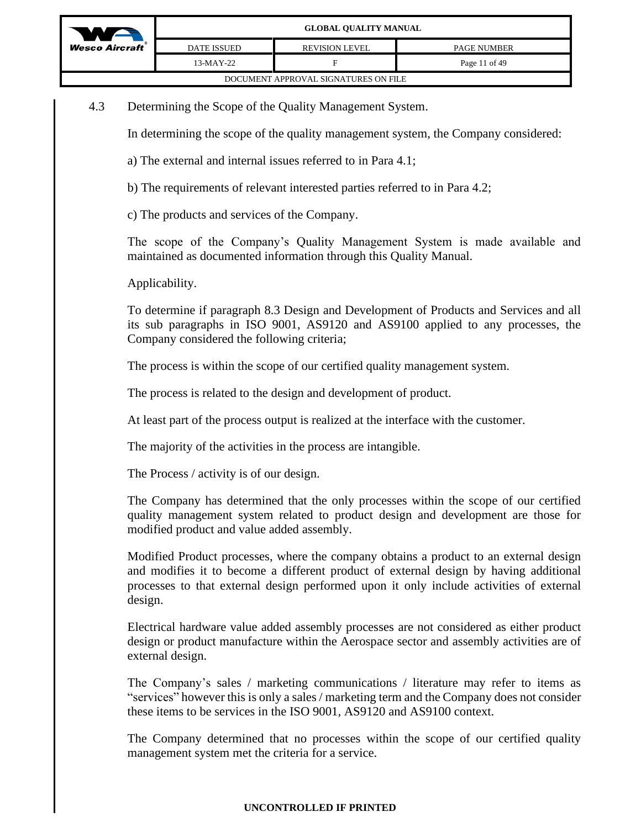

| DOCUMENT APPROVAL SIGNATURES ON FILE |
|--------------------------------------|
|--------------------------------------|

4.3 Determining the Scope of the Quality Management System.

In determining the scope of the quality management system, the Company considered:

- a) The external and internal issues referred to in Para 4.1;
- b) The requirements of relevant interested parties referred to in Para 4.2;
- c) The products and services of the Company.

The scope of the Company's Quality Management System is made available and maintained as documented information through this Quality Manual.

Applicability.

To determine if paragraph 8.3 Design and Development of Products and Services and all its sub paragraphs in ISO 9001, AS9120 and AS9100 applied to any processes, the Company considered the following criteria;

The process is within the scope of our certified quality management system.

The process is related to the design and development of product.

At least part of the process output is realized at the interface with the customer.

The majority of the activities in the process are intangible.

The Process / activity is of our design.

The Company has determined that the only processes within the scope of our certified quality management system related to product design and development are those for modified product and value added assembly.

Modified Product processes, where the company obtains a product to an external design and modifies it to become a different product of external design by having additional processes to that external design performed upon it only include activities of external design.

Electrical hardware value added assembly processes are not considered as either product design or product manufacture within the Aerospace sector and assembly activities are of external design.

The Company's sales / marketing communications / literature may refer to items as "services" however this is only a sales / marketing term and the Company does not consider these items to be services in the ISO 9001, AS9120 and AS9100 context.

The Company determined that no processes within the scope of our certified quality management system met the criteria for a service.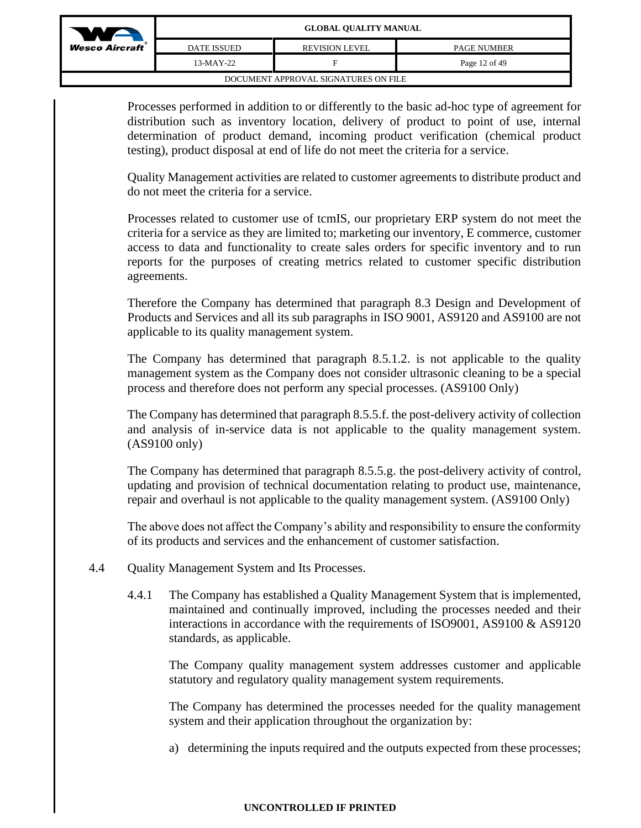

| DATE ISSUED.                         | <b>REVISION LEVEL</b> | <b>PAGE NUMBER</b> |
|--------------------------------------|-----------------------|--------------------|
| 13-MAY-22                            | F                     | Page 12 of 49      |
| DOCUMENT APPROVAL SIGNATURES ON FILE |                       |                    |

Processes performed in addition to or differently to the basic ad-hoc type of agreement for distribution such as inventory location, delivery of product to point of use, internal determination of product demand, incoming product verification (chemical product testing), product disposal at end of life do not meet the criteria for a service.

Quality Management activities are related to customer agreements to distribute product and do not meet the criteria for a service.

Processes related to customer use of tcmIS, our proprietary ERP system do not meet the criteria for a service as they are limited to; marketing our inventory, E commerce, customer access to data and functionality to create sales orders for specific inventory and to run reports for the purposes of creating metrics related to customer specific distribution agreements.

Therefore the Company has determined that paragraph 8.3 Design and Development of Products and Services and all its sub paragraphs in ISO 9001, AS9120 and AS9100 are not applicable to its quality management system.

The Company has determined that paragraph 8.5.1.2. is not applicable to the quality management system as the Company does not consider ultrasonic cleaning to be a special process and therefore does not perform any special processes. (AS9100 Only)

The Company has determined that paragraph 8.5.5.f. the post-delivery activity of collection and analysis of in-service data is not applicable to the quality management system. (AS9100 only)

The Company has determined that paragraph 8.5.5.g. the post-delivery activity of control, updating and provision of technical documentation relating to product use, maintenance, repair and overhaul is not applicable to the quality management system. (AS9100 Only)

The above does not affect the Company's ability and responsibility to ensure the conformity of its products and services and the enhancement of customer satisfaction.

- 4.4 Quality Management System and Its Processes.
	- 4.4.1 The Company has established a Quality Management System that is implemented, maintained and continually improved, including the processes needed and their interactions in accordance with the requirements of ISO9001, AS9100 & AS9120 standards, as applicable.

The Company quality management system addresses customer and applicable statutory and regulatory quality management system requirements.

The Company has determined the processes needed for the quality management system and their application throughout the organization by:

a) determining the inputs required and the outputs expected from these processes;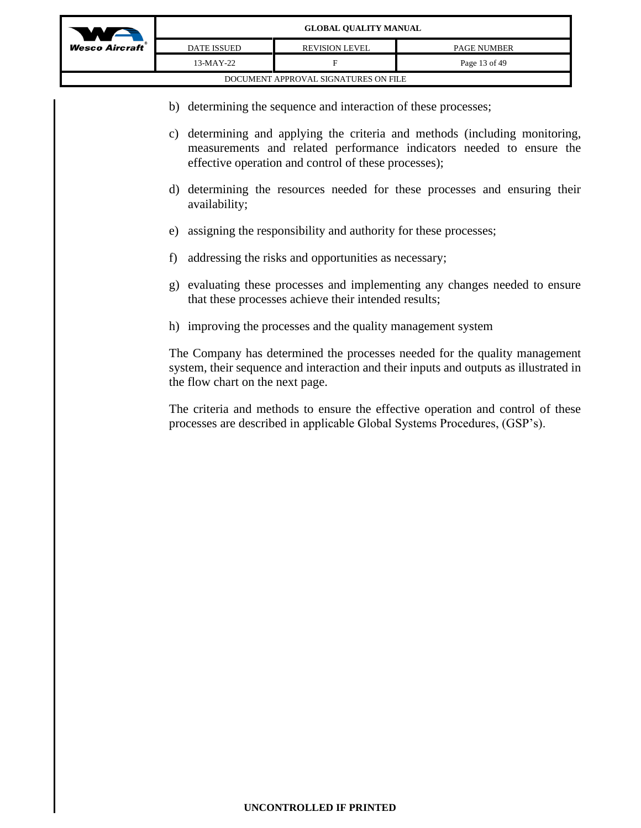

DATE ISSUED REVISION LEVEL PAGE NUMBER

| 13-MAY-22 |                                      | Page 13 of 49 |
|-----------|--------------------------------------|---------------|
|           | DOCUMENT APPROVAL SIGNATURES ON FILE |               |

- b) determining the sequence and interaction of these processes;
- c) determining and applying the criteria and methods (including monitoring, measurements and related performance indicators needed to ensure the effective operation and control of these processes);
- d) determining the resources needed for these processes and ensuring their availability;
- e) assigning the responsibility and authority for these processes;
- f) addressing the risks and opportunities as necessary;
- g) evaluating these processes and implementing any changes needed to ensure that these processes achieve their intended results;
- h) improving the processes and the quality management system

The Company has determined the processes needed for the quality management system, their sequence and interaction and their inputs and outputs as illustrated in the flow chart on the next page.

The criteria and methods to ensure the effective operation and control of these processes are described in applicable Global Systems Procedures, (GSP's).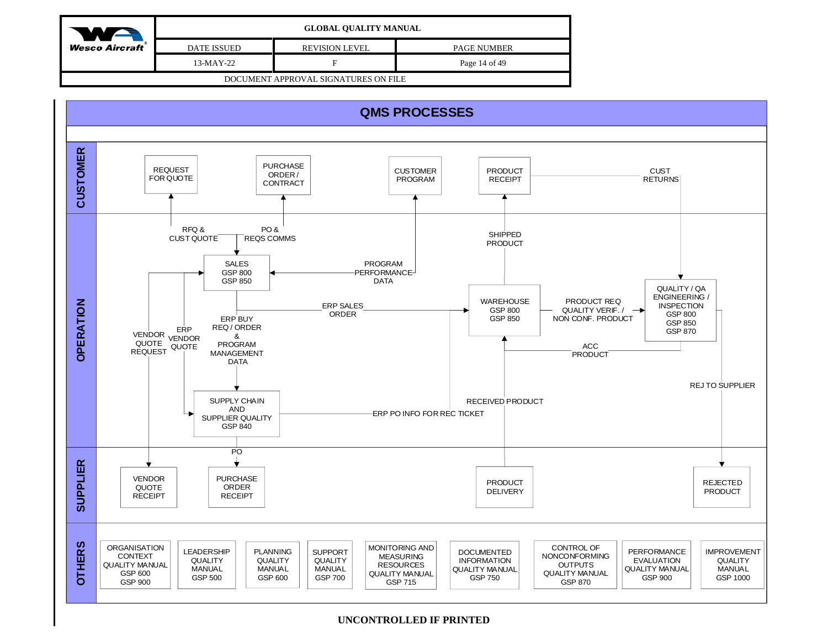| We                                   | <b>GLOBAL QUALITY MANUAL</b> |                       |                    |
|--------------------------------------|------------------------------|-----------------------|--------------------|
| <b>Wesco Aircraft</b>                | <b>DATE ISSUED</b>           | <b>REVISION LEVEL</b> | <b>PAGE NUMBER</b> |
|                                      | $13-MAY-22$                  |                       | Page 14 of 49      |
| DOCUMENT APPROVAL SIGNATURES ON FILE |                              |                       |                    |

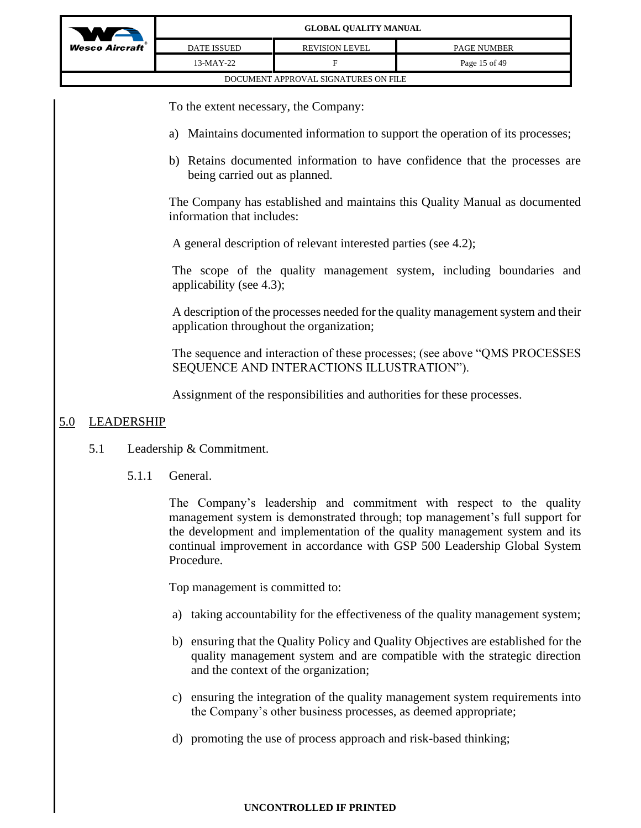

To the extent necessary, the Company:

- a) Maintains documented information to support the operation of its processes;
- b) Retains documented information to have confidence that the processes are being carried out as planned.

The Company has established and maintains this Quality Manual as documented information that includes:

A general description of relevant interested parties (see 4.2);

The scope of the quality management system, including boundaries and applicability (see 4.3);

A description of the processes needed for the quality management system and their application throughout the organization;

The sequence and interaction of these processes; (see above "QMS PROCESSES SEQUENCE AND INTERACTIONS ILLUSTRATION").

Assignment of the responsibilities and authorities for these processes.

# 5.0 LEADERSHIP

- 5.1 Leadership & Commitment.
	- 5.1.1 General.

The Company's leadership and commitment with respect to the quality management system is demonstrated through; top management's full support for the development and implementation of the quality management system and its continual improvement in accordance with GSP 500 Leadership Global System Procedure.

Top management is committed to:

- a) taking accountability for the effectiveness of the quality management system;
- b) ensuring that the Quality Policy and Quality Objectives are established for the quality management system and are compatible with the strategic direction and the context of the organization;
- c) ensuring the integration of the quality management system requirements into the Company's other business processes, as deemed appropriate;
- d) promoting the use of process approach and risk-based thinking;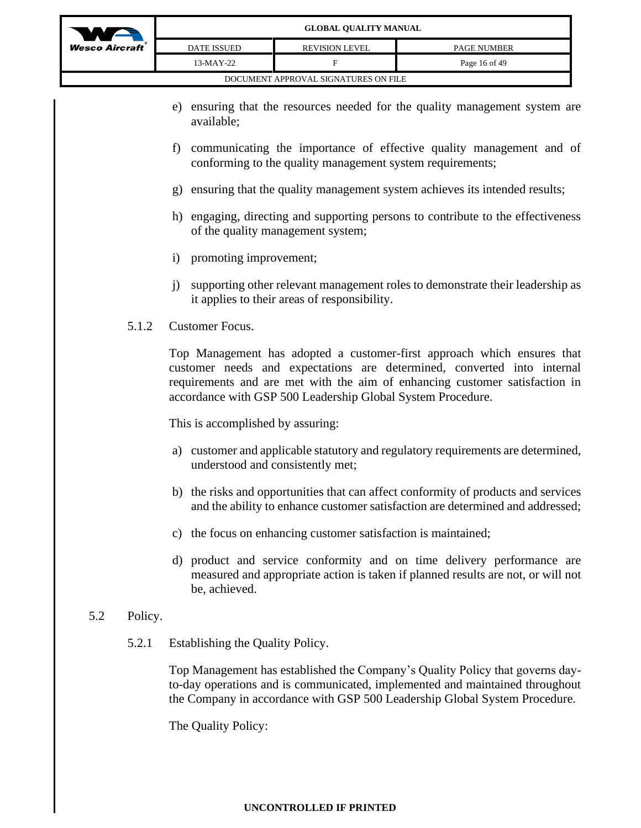

|                  |                    | GEODAL OUALITT MAROAL                |                    |
|------------------|--------------------|--------------------------------------|--------------------|
| A <i>ircraft</i> | <b>DATE ISSUED</b> | <b>REVISION LEVEL</b>                | <b>PAGE NUMBER</b> |
|                  | $13-MAY-22$        |                                      | Page 16 of 49      |
|                  |                    | DOCUMENT APPROVAL SIGNATURES ON FILE |                    |

- e) ensuring that the resources needed for the quality management system are available;
- f) communicating the importance of effective quality management and of conforming to the quality management system requirements;
- g) ensuring that the quality management system achieves its intended results;
- h) engaging, directing and supporting persons to contribute to the effectiveness of the quality management system;
- i) promoting improvement;
- j) supporting other relevant management roles to demonstrate their leadership as it applies to their areas of responsibility.
- 5.1.2 Customer Focus.

Top Management has adopted a customer-first approach which ensures that customer needs and expectations are determined, converted into internal requirements and are met with the aim of enhancing customer satisfaction in accordance with GSP 500 Leadership Global System Procedure.

This is accomplished by assuring:

- a) customer and applicable statutory and regulatory requirements are determined, understood and consistently met;
- b) the risks and opportunities that can affect conformity of products and services and the ability to enhance customer satisfaction are determined and addressed;
- c) the focus on enhancing customer satisfaction is maintained;
- d) product and service conformity and on time delivery performance are measured and appropriate action is taken if planned results are not, or will not be, achieved.

# 5.2 Policy.

5.2.1 Establishing the Quality Policy.

Top Management has established the Company's Quality Policy that governs dayto-day operations and is communicated, implemented and maintained throughout the Company in accordance with GSP 500 Leadership Global System Procedure.

The Quality Policy: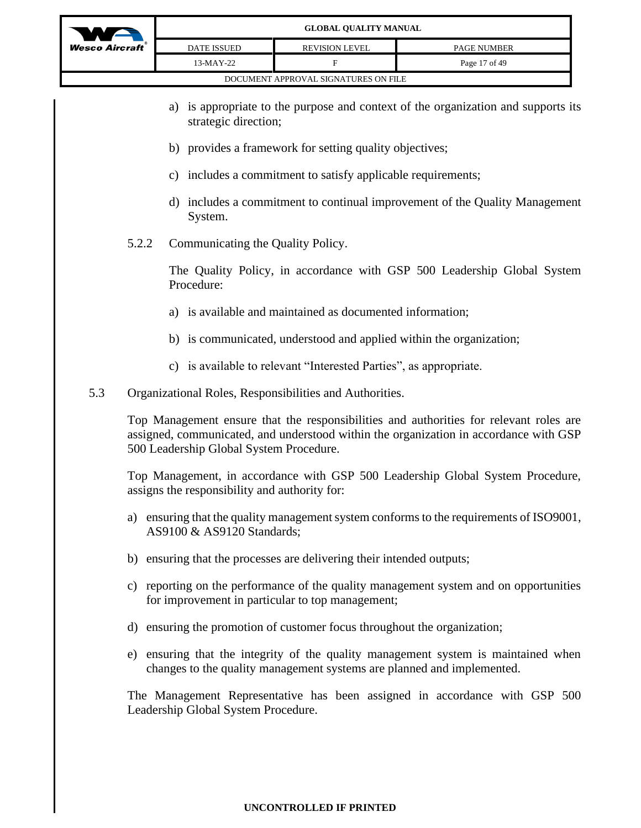

- a) is appropriate to the purpose and context of the organization and supports its strategic direction;
- b) provides a framework for setting quality objectives;
- c) includes a commitment to satisfy applicable requirements;
- d) includes a commitment to continual improvement of the Quality Management System.
- 5.2.2 Communicating the Quality Policy.

The Quality Policy, in accordance with GSP 500 Leadership Global System Procedure:

- a) is available and maintained as documented information;
- b) is communicated, understood and applied within the organization;
- c) is available to relevant "Interested Parties", as appropriate.
- 5.3 Organizational Roles, Responsibilities and Authorities.

Top Management ensure that the responsibilities and authorities for relevant roles are assigned, communicated, and understood within the organization in accordance with GSP 500 Leadership Global System Procedure.

Top Management, in accordance with GSP 500 Leadership Global System Procedure, assigns the responsibility and authority for:

- a) ensuring that the quality management system conforms to the requirements of ISO9001, AS9100 & AS9120 Standards;
- b) ensuring that the processes are delivering their intended outputs;
- c) reporting on the performance of the quality management system and on opportunities for improvement in particular to top management;
- d) ensuring the promotion of customer focus throughout the organization;
- e) ensuring that the integrity of the quality management system is maintained when changes to the quality management systems are planned and implemented.

The Management Representative has been assigned in accordance with GSP 500 Leadership Global System Procedure.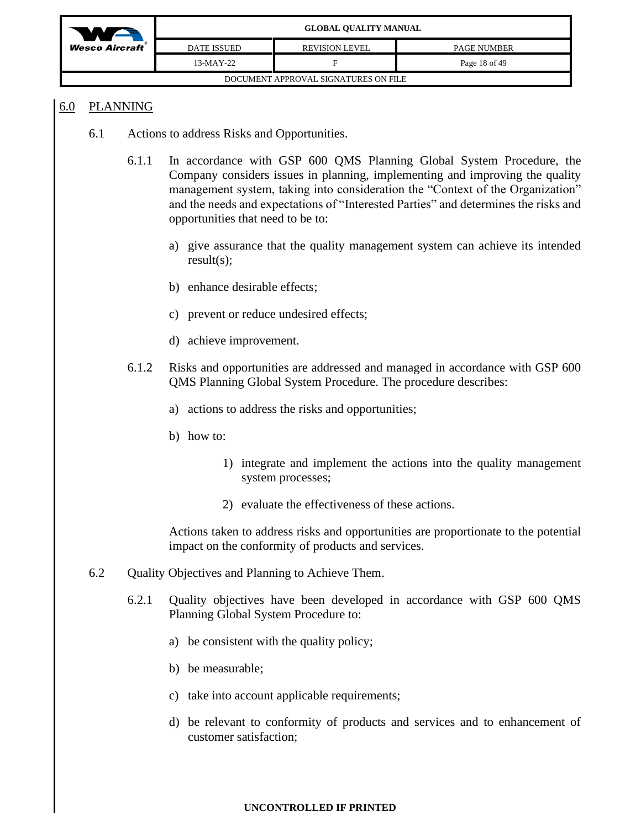

## 6.0 PLANNING

- 6.1 Actions to address Risks and Opportunities.
	- 6.1.1 In accordance with GSP 600 QMS Planning Global System Procedure, the Company considers issues in planning, implementing and improving the quality management system, taking into consideration the "Context of the Organization" and the needs and expectations of "Interested Parties" and determines the risks and opportunities that need to be to:
		- a) give assurance that the quality management system can achieve its intended result(s);
		- b) enhance desirable effects;
		- c) prevent or reduce undesired effects;
		- d) achieve improvement.
	- 6.1.2 Risks and opportunities are addressed and managed in accordance with GSP 600 QMS Planning Global System Procedure. The procedure describes:
		- a) actions to address the risks and opportunities;
		- b) how to:
			- 1) integrate and implement the actions into the quality management system processes;
			- 2) evaluate the effectiveness of these actions.

Actions taken to address risks and opportunities are proportionate to the potential impact on the conformity of products and services.

- 6.2 Quality Objectives and Planning to Achieve Them.
	- 6.2.1 Quality objectives have been developed in accordance with GSP 600 QMS Planning Global System Procedure to:
		- a) be consistent with the quality policy;
		- b) be measurable;
		- c) take into account applicable requirements;
		- d) be relevant to conformity of products and services and to enhancement of customer satisfaction;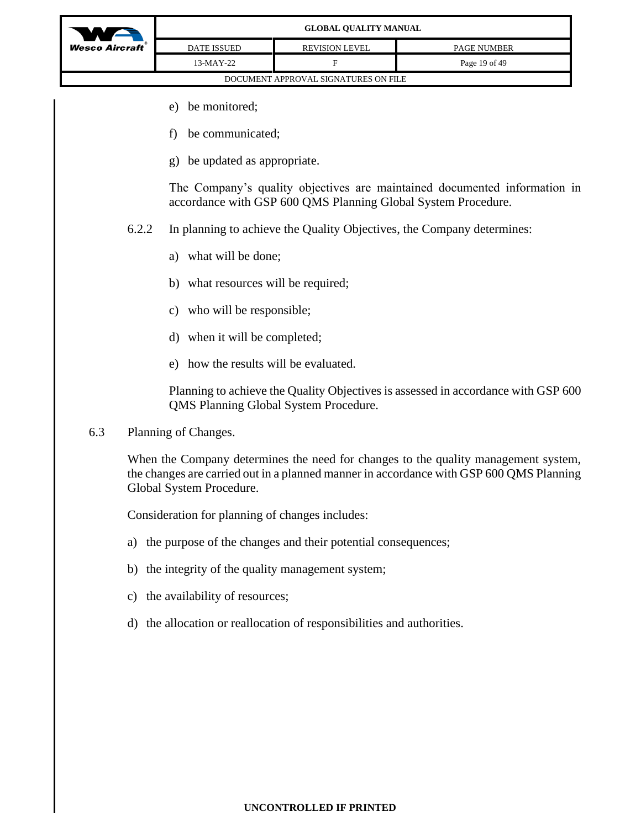

- e) be monitored;
- f) be communicated;
- g) be updated as appropriate.

The Company's quality objectives are maintained documented information in accordance with GSP 600 QMS Planning Global System Procedure.

- 6.2.2 In planning to achieve the Quality Objectives, the Company determines:
	- a) what will be done;
	- b) what resources will be required;
	- c) who will be responsible;
	- d) when it will be completed;
	- e) how the results will be evaluated.

Planning to achieve the Quality Objectives is assessed in accordance with GSP 600 QMS Planning Global System Procedure.

6.3 Planning of Changes.

When the Company determines the need for changes to the quality management system, the changes are carried out in a planned manner in accordance with GSP 600 QMS Planning Global System Procedure.

Consideration for planning of changes includes:

- a) the purpose of the changes and their potential consequences;
- b) the integrity of the quality management system;
- c) the availability of resources;
- d) the allocation or reallocation of responsibilities and authorities.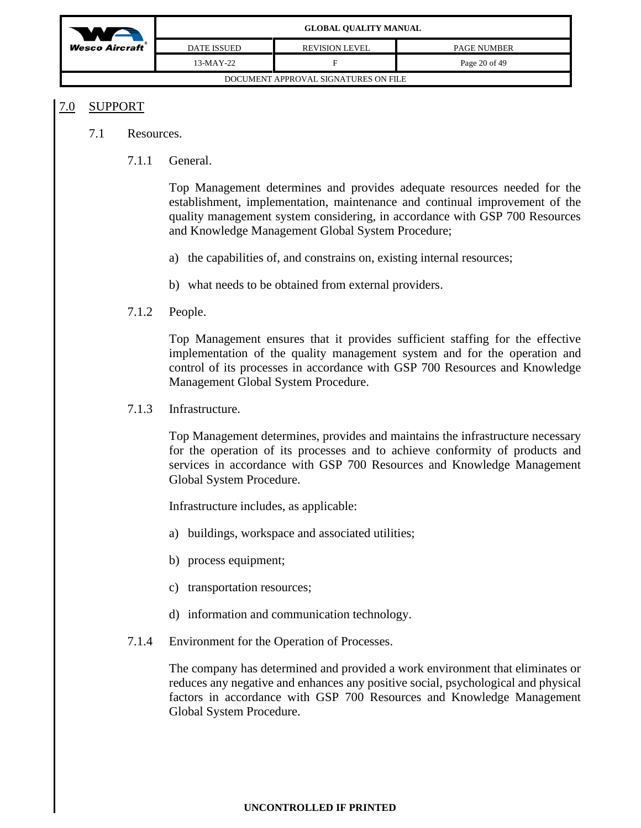| WA                                   |                    | <b>GLOBAL QUALITY MANUAL</b> |                    |
|--------------------------------------|--------------------|------------------------------|--------------------|
| $Wesc$ Aircraft                      | <b>DATE ISSUED</b> | <b>REVISION LEVEL</b>        | <b>PAGE NUMBER</b> |
|                                      | 13-MAY-22          |                              | Page 20 of 49      |
| DOCUMENT APPROVAL SIGNATURES ON FILE |                    |                              |                    |

## 7.0 SUPPORT

- 7.1 Resources.
	- 7.1.1 General.

Top Management determines and provides adequate resources needed for the establishment, implementation, maintenance and continual improvement of the quality management system considering, in accordance with GSP 700 Resources and Knowledge Management Global System Procedure;

- a) the capabilities of, and constrains on, existing internal resources;
- b) what needs to be obtained from external providers.

### 7.1.2 People.

Top Management ensures that it provides sufficient staffing for the effective implementation of the quality management system and for the operation and control of its processes in accordance with GSP 700 Resources and Knowledge Management Global System Procedure.

7.1.3 Infrastructure.

Top Management determines, provides and maintains the infrastructure necessary for the operation of its processes and to achieve conformity of products and services in accordance with GSP 700 Resources and Knowledge Management Global System Procedure.

Infrastructure includes, as applicable:

- a) buildings, workspace and associated utilities;
- b) process equipment;
- c) transportation resources;
- d) information and communication technology.
- 7.1.4 Environment for the Operation of Processes.

The company has determined and provided a work environment that eliminates or reduces any negative and enhances any positive social, psychological and physical factors in accordance with GSP 700 Resources and Knowledge Management Global System Procedure.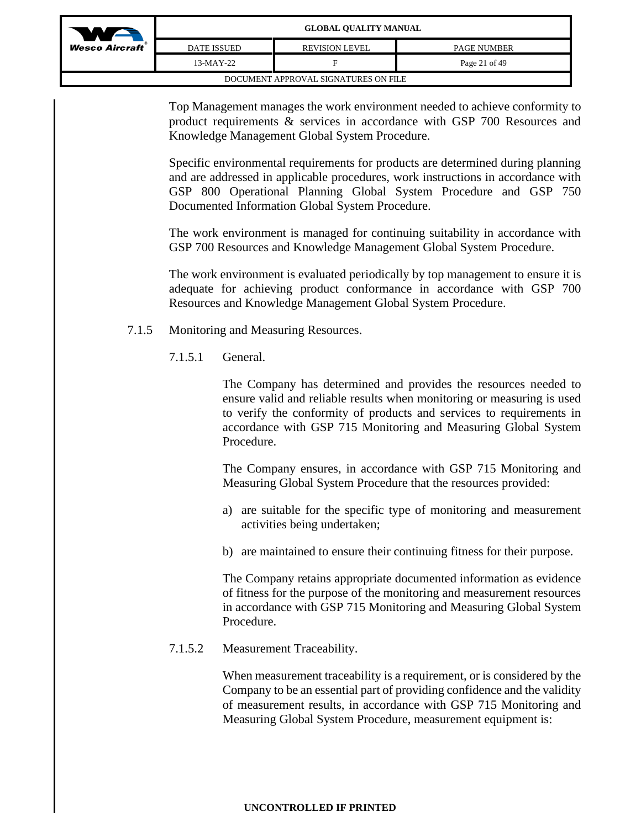| WA                      | <b>GLOBAL QUALITY MANUAL</b> |                                      |                    |
|-------------------------|------------------------------|--------------------------------------|--------------------|
| <b>Wesco Aircraft</b> ® | <b>DATE ISSUED</b>           | <b>REVISION LEVEL</b>                | <b>PAGE NUMBER</b> |
|                         | 13-MAY-22                    | F                                    | Page 21 of 49      |
|                         |                              | DOCUMENT APPROVAL SIGNATURES ON FILE |                    |

Top Management manages the work environment needed to achieve conformity to product requirements & services in accordance with GSP 700 Resources and Knowledge Management Global System Procedure.

Specific environmental requirements for products are determined during planning and are addressed in applicable procedures, work instructions in accordance with GSP 800 Operational Planning Global System Procedure and GSP 750 Documented Information Global System Procedure.

The work environment is managed for continuing suitability in accordance with GSP 700 Resources and Knowledge Management Global System Procedure.

The work environment is evaluated periodically by top management to ensure it is adequate for achieving product conformance in accordance with GSP 700 Resources and Knowledge Management Global System Procedure.

- 7.1.5 Monitoring and Measuring Resources.
	- 7.1.5.1 General.

The Company has determined and provides the resources needed to ensure valid and reliable results when monitoring or measuring is used to verify the conformity of products and services to requirements in accordance with GSP 715 Monitoring and Measuring Global System Procedure.

The Company ensures, in accordance with GSP 715 Monitoring and Measuring Global System Procedure that the resources provided:

- a) are suitable for the specific type of monitoring and measurement activities being undertaken;
- b) are maintained to ensure their continuing fitness for their purpose.

The Company retains appropriate documented information as evidence of fitness for the purpose of the monitoring and measurement resources in accordance with GSP 715 Monitoring and Measuring Global System Procedure.

7.1.5.2 Measurement Traceability.

When measurement traceability is a requirement, or is considered by the Company to be an essential part of providing confidence and the validity of measurement results, in accordance with GSP 715 Monitoring and Measuring Global System Procedure, measurement equipment is: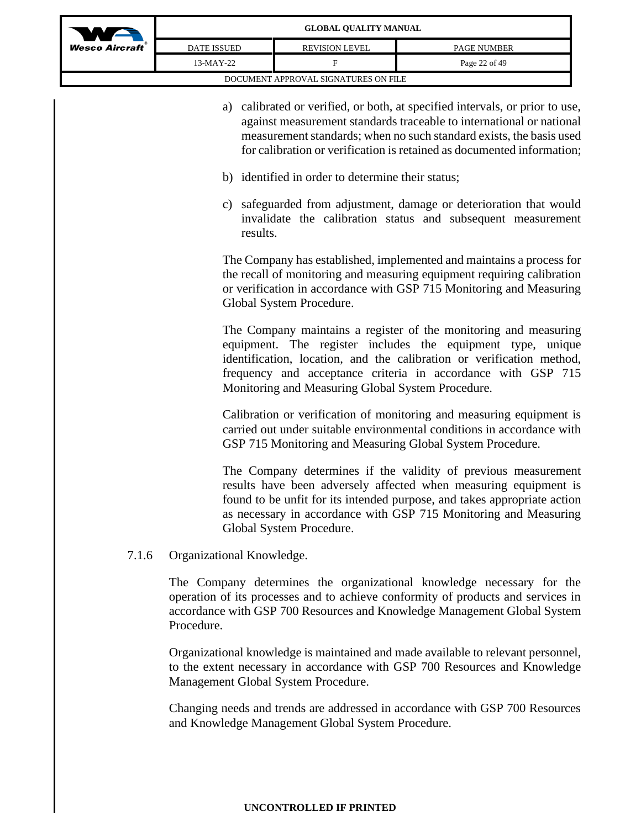| WA                                   |                    | <b>GLOBAL QUALITY MANUAL</b> |                    |
|--------------------------------------|--------------------|------------------------------|--------------------|
| <b>Wesco Aircraft</b> ®              | <b>DATE ISSUED</b> | <b>REVISION LEVEL</b>        | <b>PAGE NUMBER</b> |
|                                      | 13-MAY-22          |                              | Page 22 of 49      |
| DOCUMENT APPROVAL SIGNATURES ON FILE |                    |                              |                    |

- a) calibrated or verified, or both, at specified intervals, or prior to use, against measurement standards traceable to international or national measurement standards; when no such standard exists, the basis used for calibration or verification is retained as documented information;
- b) identified in order to determine their status;
- c) safeguarded from adjustment, damage or deterioration that would invalidate the calibration status and subsequent measurement results.

The Company has established, implemented and maintains a process for the recall of monitoring and measuring equipment requiring calibration or verification in accordance with GSP 715 Monitoring and Measuring Global System Procedure.

The Company maintains a register of the monitoring and measuring equipment. The register includes the equipment type, unique identification, location, and the calibration or verification method, frequency and acceptance criteria in accordance with GSP 715 Monitoring and Measuring Global System Procedure.

Calibration or verification of monitoring and measuring equipment is carried out under suitable environmental conditions in accordance with GSP 715 Monitoring and Measuring Global System Procedure.

The Company determines if the validity of previous measurement results have been adversely affected when measuring equipment is found to be unfit for its intended purpose, and takes appropriate action as necessary in accordance with GSP 715 Monitoring and Measuring Global System Procedure.

7.1.6 Organizational Knowledge.

The Company determines the organizational knowledge necessary for the operation of its processes and to achieve conformity of products and services in accordance with GSP 700 Resources and Knowledge Management Global System Procedure.

Organizational knowledge is maintained and made available to relevant personnel, to the extent necessary in accordance with GSP 700 Resources and Knowledge Management Global System Procedure.

Changing needs and trends are addressed in accordance with GSP 700 Resources and Knowledge Management Global System Procedure.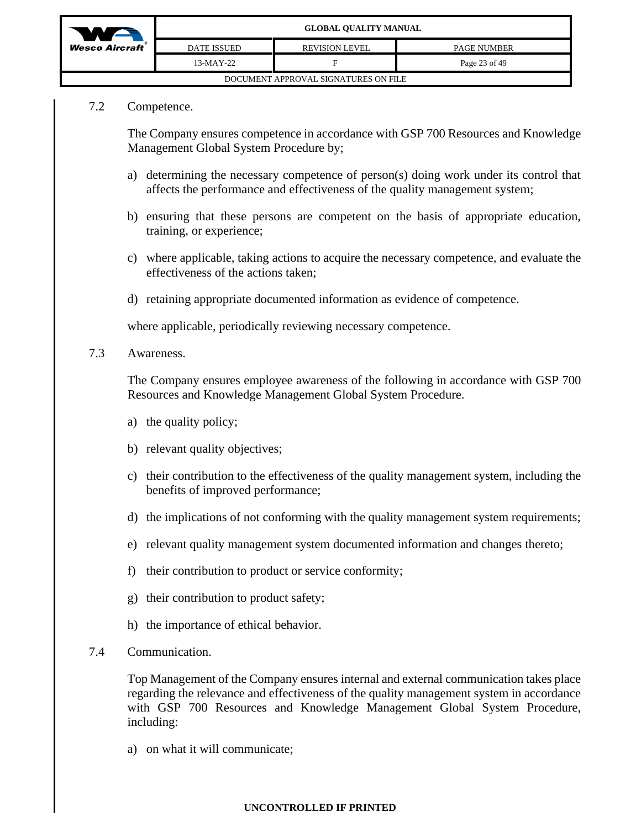

# 7.2 Competence.

The Company ensures competence in accordance with GSP 700 Resources and Knowledge Management Global System Procedure by;

- a) determining the necessary competence of person(s) doing work under its control that affects the performance and effectiveness of the quality management system;
- b) ensuring that these persons are competent on the basis of appropriate education, training, or experience;
- c) where applicable, taking actions to acquire the necessary competence, and evaluate the effectiveness of the actions taken;
- d) retaining appropriate documented information as evidence of competence.

where applicable, periodically reviewing necessary competence.

7.3 Awareness.

The Company ensures employee awareness of the following in accordance with GSP 700 Resources and Knowledge Management Global System Procedure.

- a) the quality policy;
- b) relevant quality objectives;
- c) their contribution to the effectiveness of the quality management system, including the benefits of improved performance;
- d) the implications of not conforming with the quality management system requirements;
- e) relevant quality management system documented information and changes thereto;
- f) their contribution to product or service conformity;
- g) their contribution to product safety;
- h) the importance of ethical behavior.
- 7.4 Communication.

Top Management of the Company ensures internal and external communication takes place regarding the relevance and effectiveness of the quality management system in accordance with GSP 700 Resources and Knowledge Management Global System Procedure, including:

a) on what it will communicate;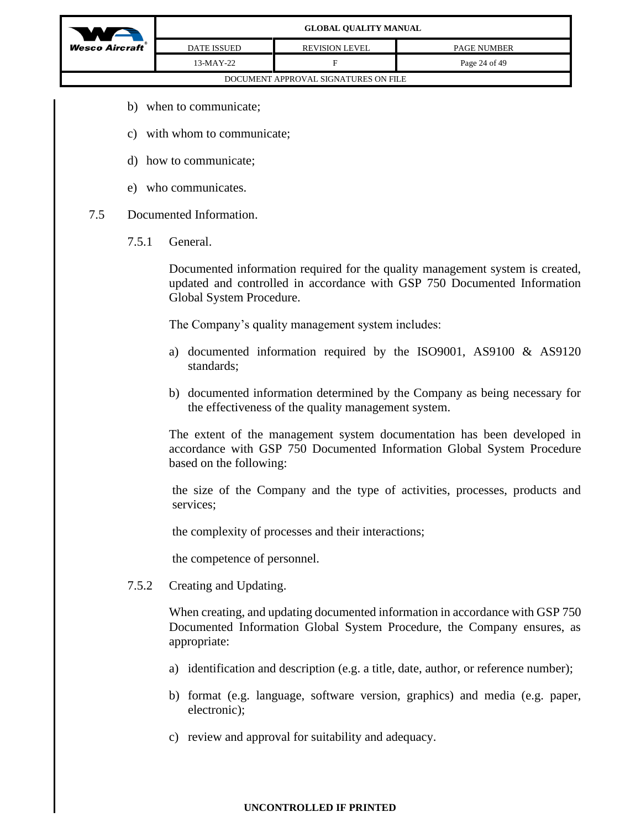

- b) when to communicate;
- c) with whom to communicate;
- d) how to communicate;
- e) who communicates.
- 7.5 Documented Information.
	- 7.5.1 General.

Documented information required for the quality management system is created, updated and controlled in accordance with GSP 750 Documented Information Global System Procedure.

The Company's quality management system includes:

- a) documented information required by the ISO9001, AS9100 & AS9120 standards;
- b) documented information determined by the Company as being necessary for the effectiveness of the quality management system.

The extent of the management system documentation has been developed in accordance with GSP 750 Documented Information Global System Procedure based on the following:

the size of the Company and the type of activities, processes, products and services;

the complexity of processes and their interactions;

the competence of personnel.

7.5.2 Creating and Updating.

When creating, and updating documented information in accordance with GSP 750 Documented Information Global System Procedure, the Company ensures, as appropriate:

- a) identification and description (e.g. a title, date, author, or reference number);
- b) format (e.g. language, software version, graphics) and media (e.g. paper, electronic);
- c) review and approval for suitability and adequacy.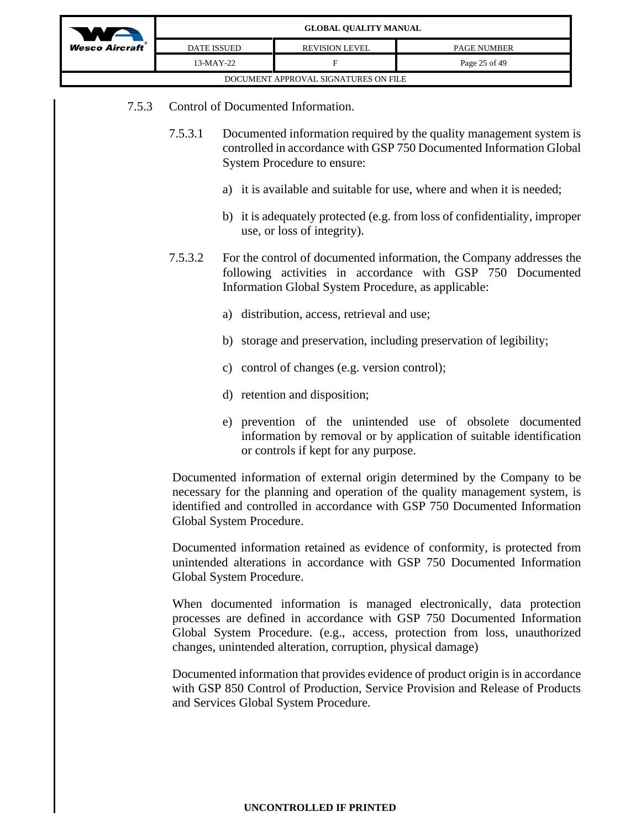

|                    | GLUDAL UUALII I MANUAL               |                    |
|--------------------|--------------------------------------|--------------------|
| <b>DATE ISSUED</b> | <b>REVISION LEVEL</b>                | <b>PAGE NUMBER</b> |
| 13-MAY-22          |                                      | Page 25 of 49      |
|                    | DOCUMENT APPROVAL SIGNATURES ON FILE |                    |

- 7.5.3 Control of Documented Information.
	- 7.5.3.1 Documented information required by the quality management system is controlled in accordance with GSP 750 Documented Information Global System Procedure to ensure:
		- a) it is available and suitable for use, where and when it is needed;
		- b) it is adequately protected (e.g. from loss of confidentiality, improper use, or loss of integrity).
	- 7.5.3.2 For the control of documented information, the Company addresses the following activities in accordance with GSP 750 Documented Information Global System Procedure, as applicable:
		- a) distribution, access, retrieval and use;
		- b) storage and preservation, including preservation of legibility;
		- c) control of changes (e.g. version control);
		- d) retention and disposition;
		- e) prevention of the unintended use of obsolete documented information by removal or by application of suitable identification or controls if kept for any purpose.

Documented information of external origin determined by the Company to be necessary for the planning and operation of the quality management system, is identified and controlled in accordance with GSP 750 Documented Information Global System Procedure.

Documented information retained as evidence of conformity, is protected from unintended alterations in accordance with GSP 750 Documented Information Global System Procedure.

When documented information is managed electronically, data protection processes are defined in accordance with GSP 750 Documented Information Global System Procedure. (e.g., access, protection from loss, unauthorized changes, unintended alteration, corruption, physical damage)

Documented information that provides evidence of product origin is in accordance with GSP 850 Control of Production, Service Provision and Release of Products and Services Global System Procedure.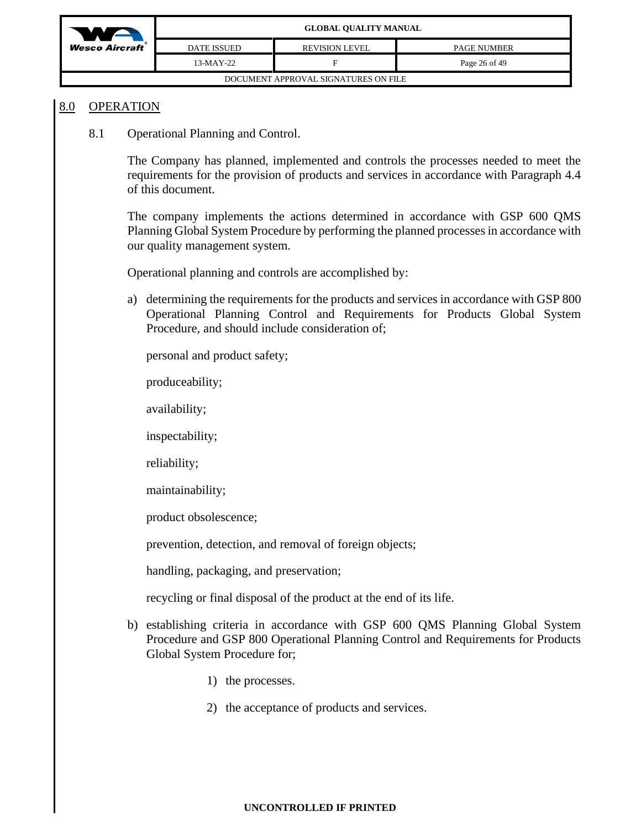

### 8.0 OPERATION

8.1 Operational Planning and Control.

The Company has planned, implemented and controls the processes needed to meet the requirements for the provision of products and services in accordance with Paragraph 4.4 of this document.

The company implements the actions determined in accordance with GSP 600 QMS Planning Global System Procedure by performing the planned processes in accordance with our quality management system.

Operational planning and controls are accomplished by:

a) determining the requirements for the products and services in accordance with GSP 800 Operational Planning Control and Requirements for Products Global System Procedure, and should include consideration of;

personal and product safety;

produceability;

availability;

inspectability;

reliability;

maintainability;

product obsolescence;

prevention, detection, and removal of foreign objects;

handling, packaging, and preservation;

recycling or final disposal of the product at the end of its life.

- b) establishing criteria in accordance with GSP 600 QMS Planning Global System Procedure and GSP 800 Operational Planning Control and Requirements for Products Global System Procedure for;
	- 1) the processes.
	- 2) the acceptance of products and services.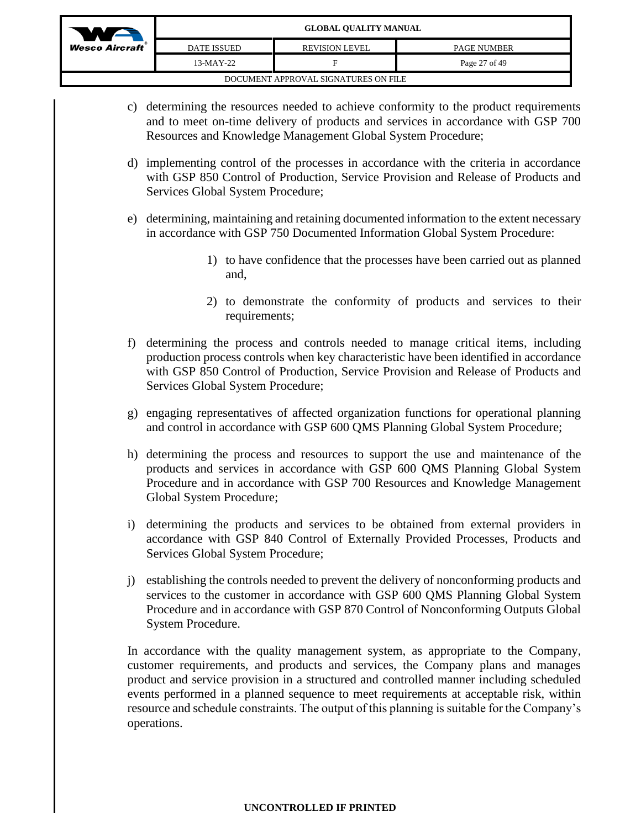

- c) determining the resources needed to achieve conformity to the product requirements and to meet on-time delivery of products and services in accordance with GSP 700 Resources and Knowledge Management Global System Procedure;
- d) implementing control of the processes in accordance with the criteria in accordance with GSP 850 Control of Production, Service Provision and Release of Products and Services Global System Procedure;
- e) determining, maintaining and retaining documented information to the extent necessary in accordance with GSP 750 Documented Information Global System Procedure:
	- 1) to have confidence that the processes have been carried out as planned and,
	- 2) to demonstrate the conformity of products and services to their requirements;
- f) determining the process and controls needed to manage critical items, including production process controls when key characteristic have been identified in accordance with GSP 850 Control of Production, Service Provision and Release of Products and Services Global System Procedure;
- g) engaging representatives of affected organization functions for operational planning and control in accordance with GSP 600 QMS Planning Global System Procedure;
- h) determining the process and resources to support the use and maintenance of the products and services in accordance with GSP 600 QMS Planning Global System Procedure and in accordance with GSP 700 Resources and Knowledge Management Global System Procedure;
- i) determining the products and services to be obtained from external providers in accordance with GSP 840 Control of Externally Provided Processes, Products and Services Global System Procedure;
- j) establishing the controls needed to prevent the delivery of nonconforming products and services to the customer in accordance with GSP 600 QMS Planning Global System Procedure and in accordance with GSP 870 Control of Nonconforming Outputs Global System Procedure.

In accordance with the quality management system, as appropriate to the Company, customer requirements, and products and services, the Company plans and manages product and service provision in a structured and controlled manner including scheduled events performed in a planned sequence to meet requirements at acceptable risk, within resource and schedule constraints. The output of this planning is suitable for the Company's operations.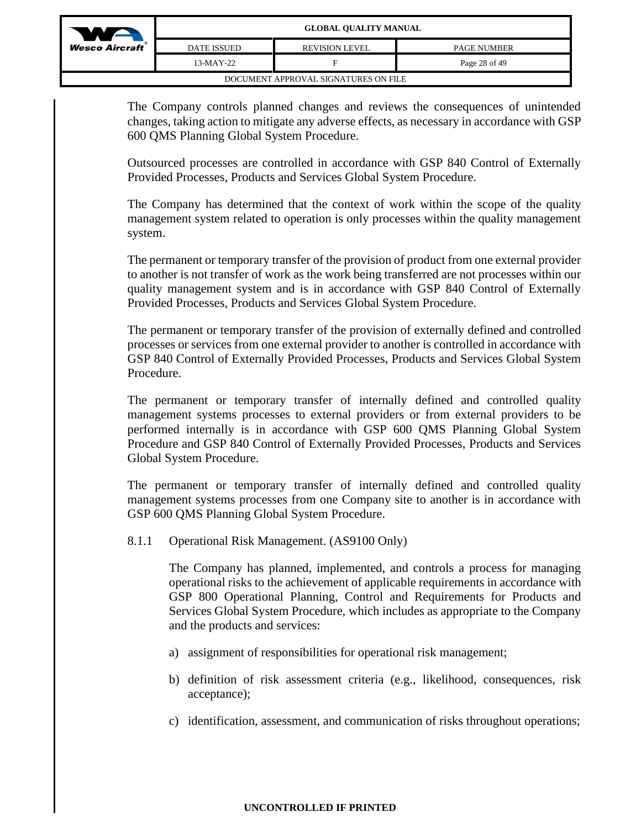

| ft | <b>DATE ISSUED</b> | <b>REVISION LEVEL</b>                | <b>PAGE NUMBER</b> |
|----|--------------------|--------------------------------------|--------------------|
|    | $13-MAY-22$        | F                                    | Page 28 of 49      |
|    |                    | DOCUMENT APPROVAL SIGNATURES ON FILE |                    |

The Company controls planned changes and reviews the consequences of unintended changes, taking action to mitigate any adverse effects, as necessary in accordance with GSP 600 QMS Planning Global System Procedure.

Outsourced processes are controlled in accordance with GSP 840 Control of Externally Provided Processes, Products and Services Global System Procedure.

The Company has determined that the context of work within the scope of the quality management system related to operation is only processes within the quality management system.

The permanent or temporary transfer of the provision of product from one external provider to another is not transfer of work as the work being transferred are not processes within our quality management system and is in accordance with GSP 840 Control of Externally Provided Processes, Products and Services Global System Procedure.

The permanent or temporary transfer of the provision of externally defined and controlled processes or services from one external provider to another is controlled in accordance with GSP 840 Control of Externally Provided Processes, Products and Services Global System Procedure.

The permanent or temporary transfer of internally defined and controlled quality management systems processes to external providers or from external providers to be performed internally is in accordance with GSP 600 QMS Planning Global System Procedure and GSP 840 Control of Externally Provided Processes, Products and Services Global System Procedure.

The permanent or temporary transfer of internally defined and controlled quality management systems processes from one Company site to another is in accordance with GSP 600 QMS Planning Global System Procedure.

8.1.1 Operational Risk Management. (AS9100 Only)

The Company has planned, implemented, and controls a process for managing operational risks to the achievement of applicable requirements in accordance with GSP 800 Operational Planning, Control and Requirements for Products and Services Global System Procedure, which includes as appropriate to the Company and the products and services:

- a) assignment of responsibilities for operational risk management;
- b) definition of risk assessment criteria (e.g., likelihood, consequences, risk acceptance);
- c) identification, assessment, and communication of risks throughout operations;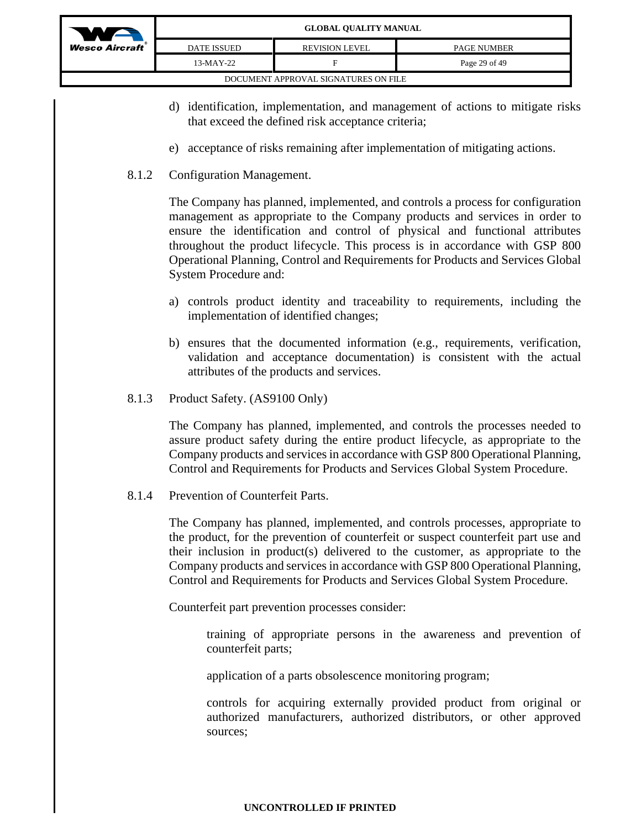

| <b>DATE ISSUED</b> | <b>REVISION LEVEL</b>                | <b>PAGE NUMBER</b> |
|--------------------|--------------------------------------|--------------------|
| $13-MAY-22$        | ы                                    | Page 29 of 49      |
|                    | DOCUMENT APPROVAL SIGNATURES ON FILE |                    |

- d) identification, implementation, and management of actions to mitigate risks that exceed the defined risk acceptance criteria;
- e) acceptance of risks remaining after implementation of mitigating actions.
- 8.1.2 Configuration Management.

The Company has planned, implemented, and controls a process for configuration management as appropriate to the Company products and services in order to ensure the identification and control of physical and functional attributes throughout the product lifecycle. This process is in accordance with GSP 800 Operational Planning, Control and Requirements for Products and Services Global System Procedure and:

- a) controls product identity and traceability to requirements, including the implementation of identified changes;
- b) ensures that the documented information (e.g., requirements, verification, validation and acceptance documentation) is consistent with the actual attributes of the products and services.
- 8.1.3 Product Safety. (AS9100 Only)

The Company has planned, implemented, and controls the processes needed to assure product safety during the entire product lifecycle, as appropriate to the Company products and services in accordance with GSP 800 Operational Planning, Control and Requirements for Products and Services Global System Procedure.

8.1.4 Prevention of Counterfeit Parts.

The Company has planned, implemented, and controls processes, appropriate to the product, for the prevention of counterfeit or suspect counterfeit part use and their inclusion in product(s) delivered to the customer, as appropriate to the Company products and services in accordance with GSP 800 Operational Planning, Control and Requirements for Products and Services Global System Procedure.

Counterfeit part prevention processes consider:

training of appropriate persons in the awareness and prevention of counterfeit parts;

application of a parts obsolescence monitoring program;

controls for acquiring externally provided product from original or authorized manufacturers, authorized distributors, or other approved sources;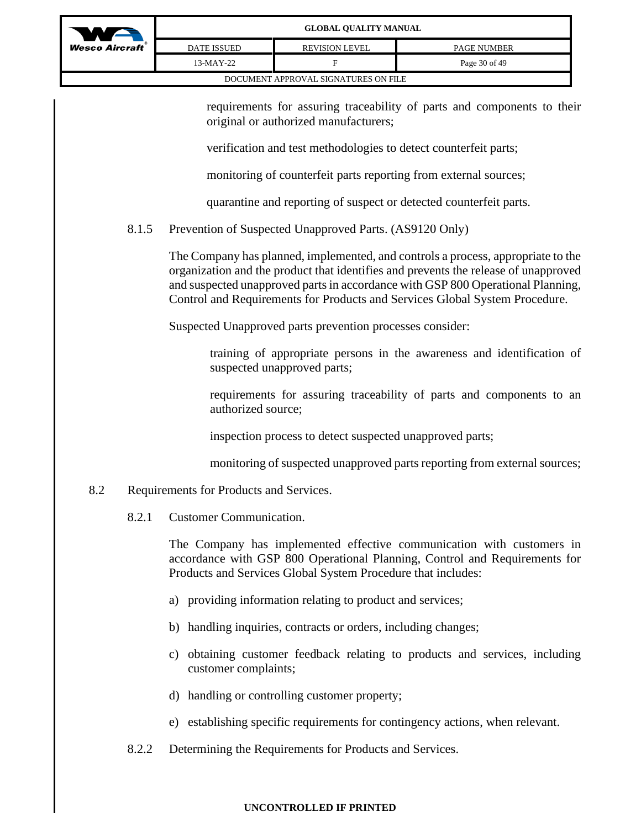

requirements for assuring traceability of parts and components to their original or authorized manufacturers;

verification and test methodologies to detect counterfeit parts;

monitoring of counterfeit parts reporting from external sources;

quarantine and reporting of suspect or detected counterfeit parts.

# 8.1.5 Prevention of Suspected Unapproved Parts. (AS9120 Only)

The Company has planned, implemented, and controls a process, appropriate to the organization and the product that identifies and prevents the release of unapproved and suspected unapproved parts in accordance with GSP 800 Operational Planning, Control and Requirements for Products and Services Global System Procedure.

Suspected Unapproved parts prevention processes consider:

training of appropriate persons in the awareness and identification of suspected unapproved parts;

requirements for assuring traceability of parts and components to an authorized source;

inspection process to detect suspected unapproved parts;

monitoring of suspected unapproved parts reporting from external sources;

## 8.2 Requirements for Products and Services.

8.2.1 Customer Communication.

The Company has implemented effective communication with customers in accordance with GSP 800 Operational Planning, Control and Requirements for Products and Services Global System Procedure that includes:

- a) providing information relating to product and services;
- b) handling inquiries, contracts or orders, including changes;
- c) obtaining customer feedback relating to products and services, including customer complaints;
- d) handling or controlling customer property;
- e) establishing specific requirements for contingency actions, when relevant.
- 8.2.2 Determining the Requirements for Products and Services.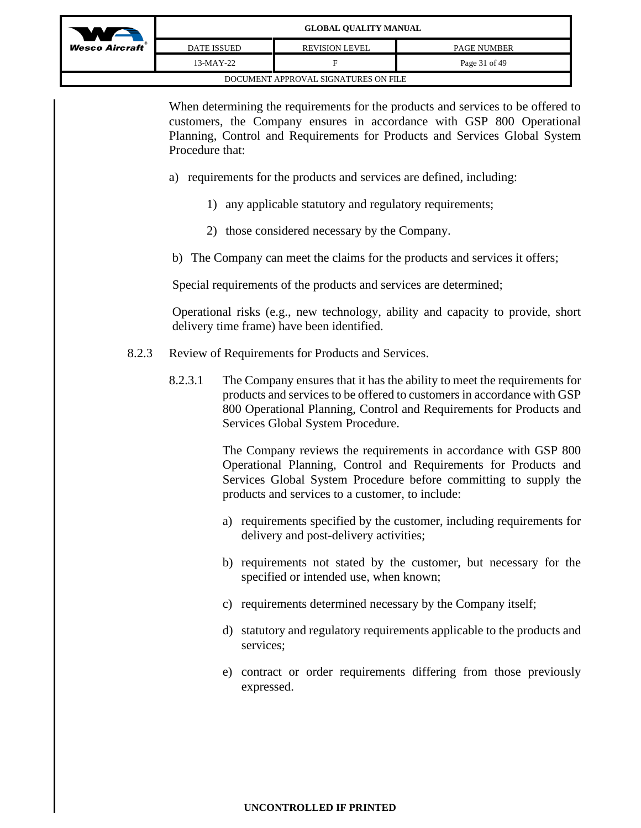| <b>Wesco Aircraft</b> |
|-----------------------|
|                       |

| Aircraft`                            | DATE ISSUED | <b>REVISION LEVEL</b> | <b>PAGE NUMBER</b> |  |  |  |
|--------------------------------------|-------------|-----------------------|--------------------|--|--|--|
|                                      | 13-MAY-22   |                       | Page 31 of 49      |  |  |  |
| DOCUMENT APPROVAL SIGNATURES ON FILE |             |                       |                    |  |  |  |

When determining the requirements for the products and services to be offered to customers, the Company ensures in accordance with GSP 800 Operational Planning, Control and Requirements for Products and Services Global System Procedure that:

- a) requirements for the products and services are defined, including:
	- 1) any applicable statutory and regulatory requirements;
	- 2) those considered necessary by the Company.
- b) The Company can meet the claims for the products and services it offers;

Special requirements of the products and services are determined;

Operational risks (e.g., new technology, ability and capacity to provide, short delivery time frame) have been identified.

- 8.2.3 Review of Requirements for Products and Services.
	- 8.2.3.1 The Company ensures that it has the ability to meet the requirements for products and services to be offered to customers in accordance with GSP 800 Operational Planning, Control and Requirements for Products and Services Global System Procedure.

The Company reviews the requirements in accordance with GSP 800 Operational Planning, Control and Requirements for Products and Services Global System Procedure before committing to supply the products and services to a customer, to include:

- a) requirements specified by the customer, including requirements for delivery and post-delivery activities;
- b) requirements not stated by the customer, but necessary for the specified or intended use, when known;
- c) requirements determined necessary by the Company itself;
- d) statutory and regulatory requirements applicable to the products and services;
- e) contract or order requirements differing from those previously expressed.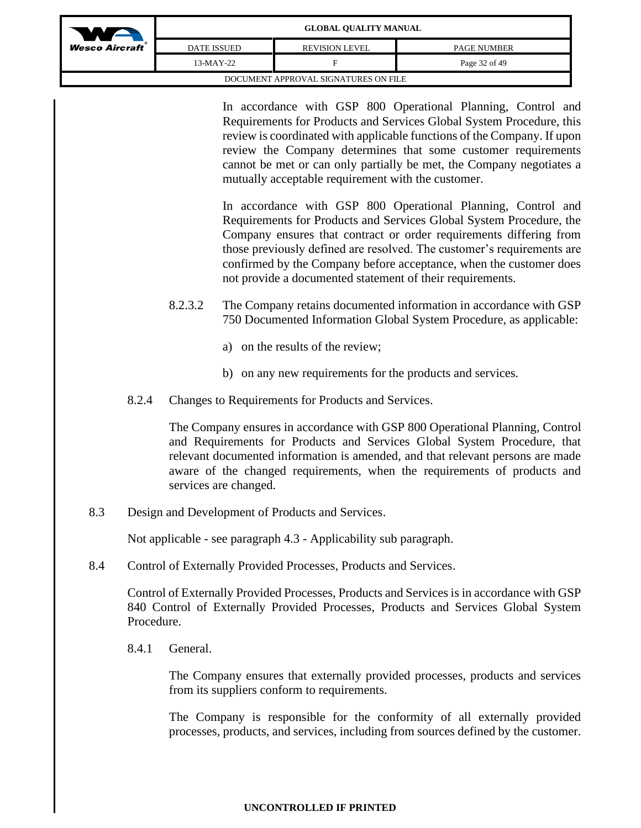| WA                                   | <b>GLOBAL QUALITY MANUAL</b> |                       |                    |
|--------------------------------------|------------------------------|-----------------------|--------------------|
| $Wesc$ Aircraft                      | <b>DATE ISSUED</b>           | <b>REVISION LEVEL</b> | <b>PAGE NUMBER</b> |
|                                      | 13-MAY-22                    |                       | Page 32 of 49      |
| DOCUMENT APPROVAL SIGNATURES ON FILE |                              |                       |                    |

In accordance with GSP 800 Operational Planning, Control and Requirements for Products and Services Global System Procedure, this review is coordinated with applicable functions of the Company. If upon review the Company determines that some customer requirements cannot be met or can only partially be met, the Company negotiates a mutually acceptable requirement with the customer.

In accordance with GSP 800 Operational Planning, Control and Requirements for Products and Services Global System Procedure, the Company ensures that contract or order requirements differing from those previously defined are resolved. The customer's requirements are confirmed by the Company before acceptance, when the customer does not provide a documented statement of their requirements.

- 8.2.3.2 The Company retains documented information in accordance with GSP 750 Documented Information Global System Procedure, as applicable:
	- a) on the results of the review;
	- b) on any new requirements for the products and services.
- 8.2.4 Changes to Requirements for Products and Services.

The Company ensures in accordance with GSP 800 Operational Planning, Control and Requirements for Products and Services Global System Procedure, that relevant documented information is amended, and that relevant persons are made aware of the changed requirements, when the requirements of products and services are changed.

8.3 Design and Development of Products and Services.

Not applicable - see paragraph 4.3 - Applicability sub paragraph.

8.4 Control of Externally Provided Processes, Products and Services.

Control of Externally Provided Processes, Products and Services is in accordance with GSP 840 Control of Externally Provided Processes, Products and Services Global System Procedure.

8.4.1 General.

The Company ensures that externally provided processes, products and services from its suppliers conform to requirements.

The Company is responsible for the conformity of all externally provided processes, products, and services, including from sources defined by the customer.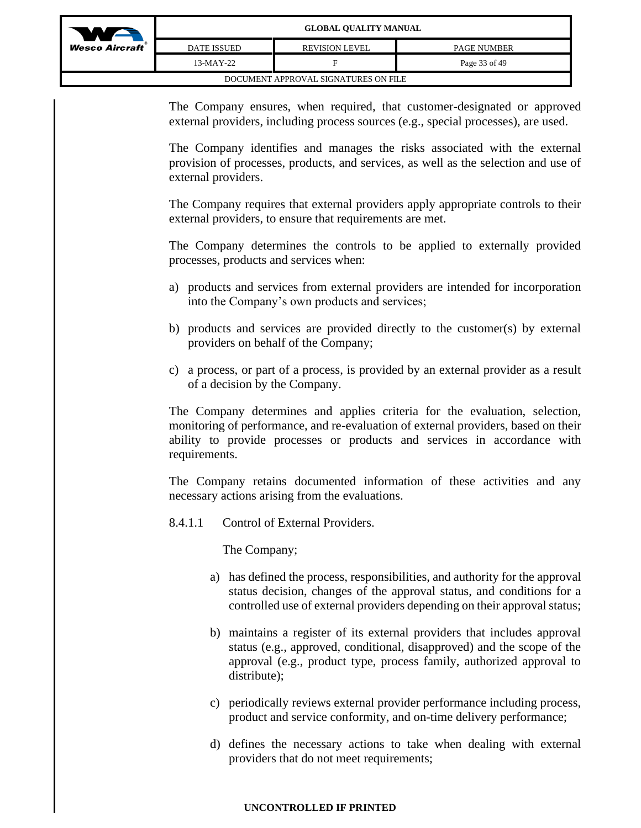

|                                      | GLUBAL UUALII I MANUAL |                       |                    |  |  |
|--------------------------------------|------------------------|-----------------------|--------------------|--|--|
| co Aircraft`                         | <b>DATE ISSUED</b>     | <b>REVISION LEVEL</b> | <b>PAGE NUMBER</b> |  |  |
|                                      | $13-MAY-22$            |                       | Page 33 of 49      |  |  |
| DOCUMENT APPROVAL SIGNATURES ON FILE |                        |                       |                    |  |  |

The Company ensures, when required, that customer-designated or approved external providers, including process sources (e.g., special processes), are used.

The Company identifies and manages the risks associated with the external provision of processes, products, and services, as well as the selection and use of external providers.

The Company requires that external providers apply appropriate controls to their external providers, to ensure that requirements are met.

The Company determines the controls to be applied to externally provided processes, products and services when:

- a) products and services from external providers are intended for incorporation into the Company's own products and services;
- b) products and services are provided directly to the customer(s) by external providers on behalf of the Company;
- c) a process, or part of a process, is provided by an external provider as a result of a decision by the Company.

The Company determines and applies criteria for the evaluation, selection, monitoring of performance, and re-evaluation of external providers, based on their ability to provide processes or products and services in accordance with requirements.

The Company retains documented information of these activities and any necessary actions arising from the evaluations.

8.4.1.1 Control of External Providers.

The Company;

- a) has defined the process, responsibilities, and authority for the approval status decision, changes of the approval status, and conditions for a controlled use of external providers depending on their approval status;
- b) maintains a register of its external providers that includes approval status (e.g., approved, conditional, disapproved) and the scope of the approval (e.g., product type, process family, authorized approval to distribute);
- c) periodically reviews external provider performance including process, product and service conformity, and on-time delivery performance;
- d) defines the necessary actions to take when dealing with external providers that do not meet requirements;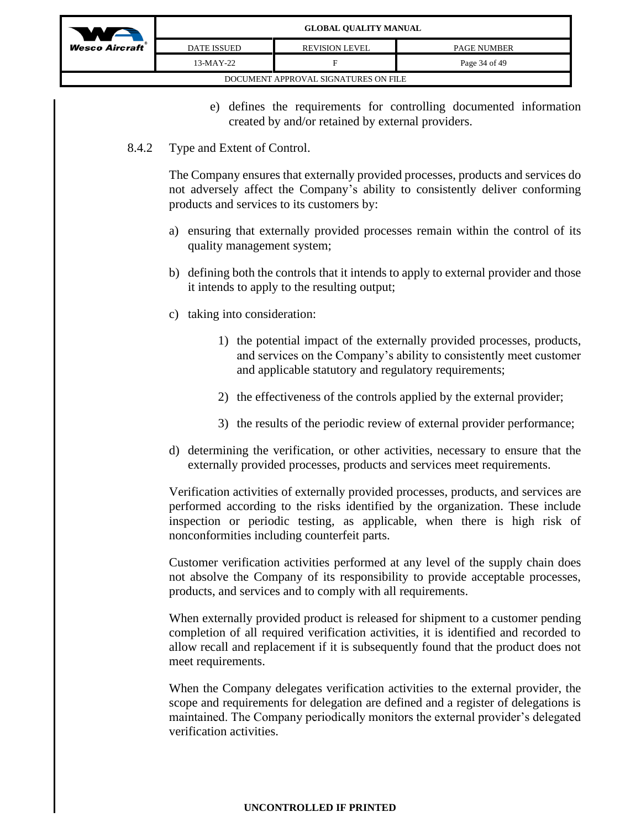

| DATE ISSUED                          | <b>REVISION LEVEL</b> | <b>PAGE NUMBER</b> |  |  |
|--------------------------------------|-----------------------|--------------------|--|--|
| 13-MAY-22                            | н                     | Page 34 of 49      |  |  |
| DOCUMENT APPROVAL SIGNATURES ON FILE |                       |                    |  |  |

e) defines the requirements for controlling documented information created by and/or retained by external providers.

### 8.4.2 Type and Extent of Control.

The Company ensures that externally provided processes, products and services do not adversely affect the Company's ability to consistently deliver conforming products and services to its customers by:

- a) ensuring that externally provided processes remain within the control of its quality management system;
- b) defining both the controls that it intends to apply to external provider and those it intends to apply to the resulting output;
- c) taking into consideration:
	- 1) the potential impact of the externally provided processes, products, and services on the Company's ability to consistently meet customer and applicable statutory and regulatory requirements;
	- 2) the effectiveness of the controls applied by the external provider;
	- 3) the results of the periodic review of external provider performance;
- d) determining the verification, or other activities, necessary to ensure that the externally provided processes, products and services meet requirements.

Verification activities of externally provided processes, products, and services are performed according to the risks identified by the organization. These include inspection or periodic testing, as applicable, when there is high risk of nonconformities including counterfeit parts.

Customer verification activities performed at any level of the supply chain does not absolve the Company of its responsibility to provide acceptable processes, products, and services and to comply with all requirements.

When externally provided product is released for shipment to a customer pending completion of all required verification activities, it is identified and recorded to allow recall and replacement if it is subsequently found that the product does not meet requirements.

When the Company delegates verification activities to the external provider, the scope and requirements for delegation are defined and a register of delegations is maintained. The Company periodically monitors the external provider's delegated verification activities.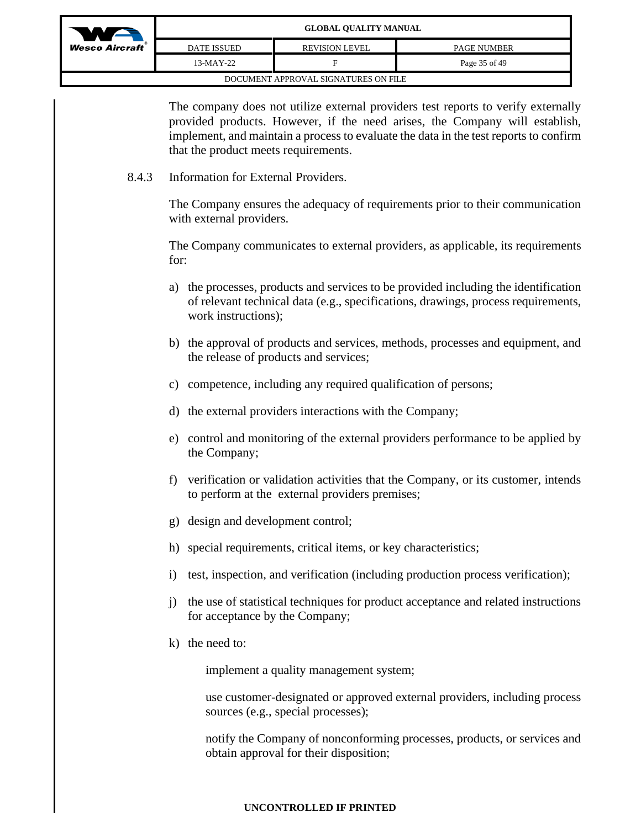| WA                                   | <b>GLOBAL QUALITY MANUAL</b> |                       |                    |  |
|--------------------------------------|------------------------------|-----------------------|--------------------|--|
| <b>Wesco Aircraft</b> ®              | DATE ISSUED                  | <b>REVISION LEVEL</b> | <b>PAGE NUMBER</b> |  |
|                                      | 13-MAY-22                    | ы                     | Page 35 of 49      |  |
| DOCUMENT APPROVAL SIGNATURES ON FILE |                              |                       |                    |  |

The company does not utilize external providers test reports to verify externally provided products. However, if the need arises, the Company will establish, implement, and maintain a process to evaluate the data in the test reports to confirm that the product meets requirements.

8.4.3 Information for External Providers.

The Company ensures the adequacy of requirements prior to their communication with external providers.

The Company communicates to external providers, as applicable, its requirements for:

- a) the processes, products and services to be provided including the identification of relevant technical data (e.g., specifications, drawings, process requirements, work instructions);
- b) the approval of products and services, methods, processes and equipment, and the release of products and services;
- c) competence, including any required qualification of persons;
- d) the external providers interactions with the Company;
- e) control and monitoring of the external providers performance to be applied by the Company;
- f) verification or validation activities that the Company, or its customer, intends to perform at the external providers premises;
- g) design and development control;
- h) special requirements, critical items, or key characteristics;
- i) test, inspection, and verification (including production process verification);
- j) the use of statistical techniques for product acceptance and related instructions for acceptance by the Company;
- k) the need to:

implement a quality management system;

use customer-designated or approved external providers, including process sources (e.g., special processes);

notify the Company of nonconforming processes, products, or services and obtain approval for their disposition;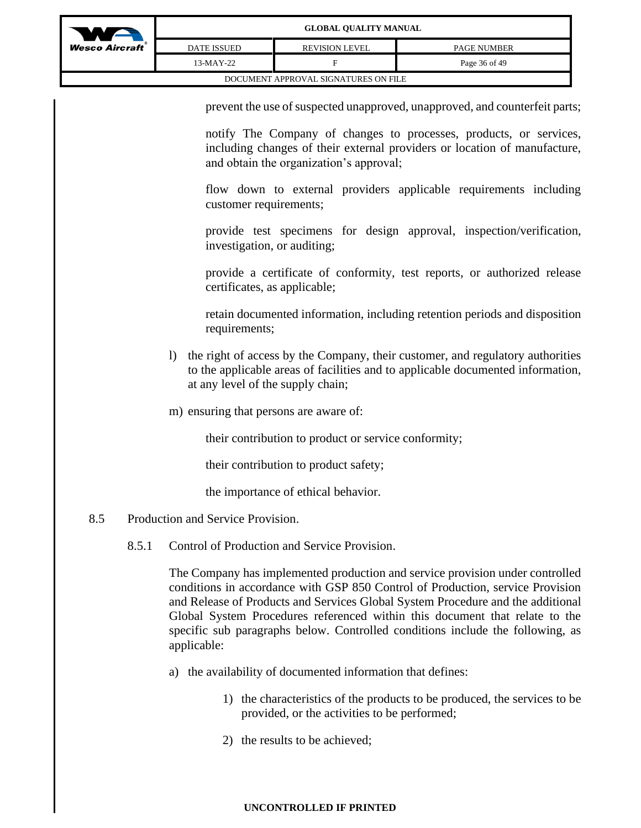

| o Aircraft`                          | <b>OLODIM QUALITI MENTURE</b> |                       |                    |  |  |
|--------------------------------------|-------------------------------|-----------------------|--------------------|--|--|
|                                      | <b>DATE ISSUED</b>            | <b>REVISION LEVEL</b> | <b>PAGE NUMBER</b> |  |  |
|                                      | $13-MAY-22$                   |                       | Page 36 of 49      |  |  |
| DOCUMENT APPROVAL SIGNATURES ON FILE |                               |                       |                    |  |  |

prevent the use of suspected unapproved, unapproved, and counterfeit parts;

notify The Company of changes to processes, products, or services, including changes of their external providers or location of manufacture, and obtain the organization's approval;

flow down to external providers applicable requirements including customer requirements;

provide test specimens for design approval, inspection/verification, investigation, or auditing;

provide a certificate of conformity, test reports, or authorized release certificates, as applicable;

retain documented information, including retention periods and disposition requirements;

- l) the right of access by the Company, their customer, and regulatory authorities to the applicable areas of facilities and to applicable documented information, at any level of the supply chain;
- m) ensuring that persons are aware of:

their contribution to product or service conformity;

their contribution to product safety;

the importance of ethical behavior.

- 8.5 Production and Service Provision.
	- 8.5.1 Control of Production and Service Provision.

The Company has implemented production and service provision under controlled conditions in accordance with GSP 850 Control of Production, service Provision and Release of Products and Services Global System Procedure and the additional Global System Procedures referenced within this document that relate to the specific sub paragraphs below. Controlled conditions include the following, as applicable:

- a) the availability of documented information that defines:
	- 1) the characteristics of the products to be produced, the services to be provided, or the activities to be performed;
	- 2) the results to be achieved;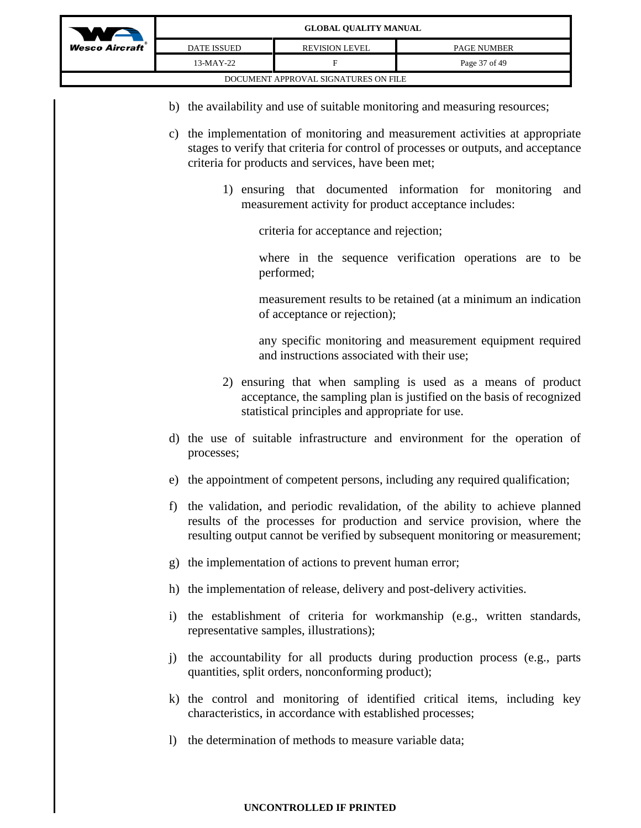

- b) the availability and use of suitable monitoring and measuring resources;
- c) the implementation of monitoring and measurement activities at appropriate stages to verify that criteria for control of processes or outputs, and acceptance criteria for products and services, have been met;
	- 1) ensuring that documented information for monitoring and measurement activity for product acceptance includes:

criteria for acceptance and rejection;

where in the sequence verification operations are to be performed;

measurement results to be retained (at a minimum an indication of acceptance or rejection);

any specific monitoring and measurement equipment required and instructions associated with their use;

- 2) ensuring that when sampling is used as a means of product acceptance, the sampling plan is justified on the basis of recognized statistical principles and appropriate for use.
- d) the use of suitable infrastructure and environment for the operation of processes;
- e) the appointment of competent persons, including any required qualification;
- f) the validation, and periodic revalidation, of the ability to achieve planned results of the processes for production and service provision, where the resulting output cannot be verified by subsequent monitoring or measurement;
- g) the implementation of actions to prevent human error;
- h) the implementation of release, delivery and post-delivery activities.
- i) the establishment of criteria for workmanship (e.g., written standards, representative samples, illustrations);
- j) the accountability for all products during production process (e.g., parts quantities, split orders, nonconforming product);
- k) the control and monitoring of identified critical items, including key characteristics, in accordance with established processes;
- l) the determination of methods to measure variable data;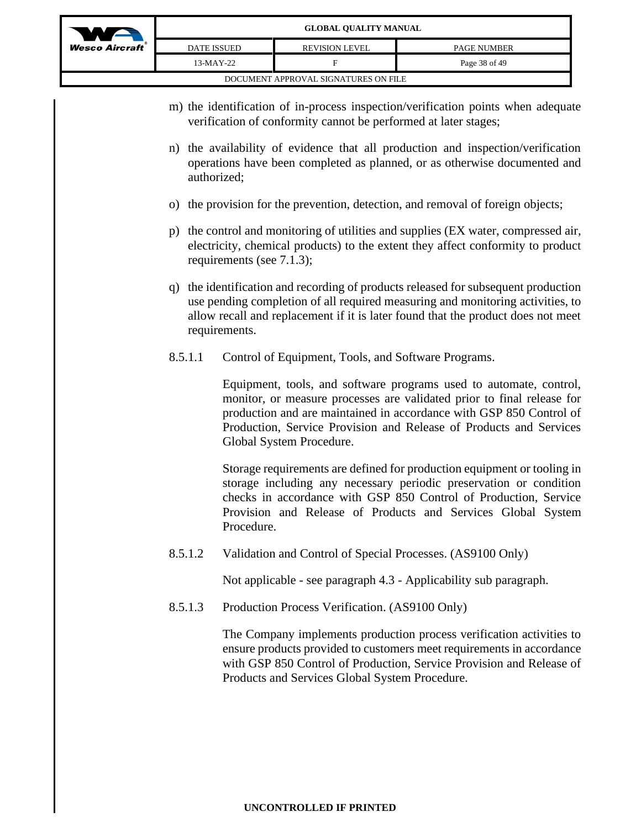| WA                                   | <b>GLOBAL QUALITY MANUAL</b> |                       |                    |
|--------------------------------------|------------------------------|-----------------------|--------------------|
| $We$ sco Aircraft                    | <b>DATE ISSUED</b>           | <b>REVISION LEVEL</b> | <b>PAGE NUMBER</b> |
|                                      | 13-MAY-22                    | F                     | Page 38 of 49      |
| DOCUMENT APPROVAL SIGNATURES ON FILE |                              |                       |                    |

- m) the identification of in-process inspection/verification points when adequate verification of conformity cannot be performed at later stages;
- n) the availability of evidence that all production and inspection/verification operations have been completed as planned, or as otherwise documented and authorized;
- o) the provision for the prevention, detection, and removal of foreign objects;
- p) the control and monitoring of utilities and supplies (EX water, compressed air, electricity, chemical products) to the extent they affect conformity to product requirements (see 7.1.3);
- q) the identification and recording of products released for subsequent production use pending completion of all required measuring and monitoring activities, to allow recall and replacement if it is later found that the product does not meet requirements.
- 8.5.1.1 Control of Equipment, Tools, and Software Programs.

Equipment, tools, and software programs used to automate, control, monitor, or measure processes are validated prior to final release for production and are maintained in accordance with GSP 850 Control of Production, Service Provision and Release of Products and Services Global System Procedure.

Storage requirements are defined for production equipment or tooling in storage including any necessary periodic preservation or condition checks in accordance with GSP 850 Control of Production, Service Provision and Release of Products and Services Global System Procedure.

8.5.1.2 Validation and Control of Special Processes. (AS9100 Only)

Not applicable - see paragraph 4.3 - Applicability sub paragraph.

8.5.1.3 Production Process Verification. (AS9100 Only)

The Company implements production process verification activities to ensure products provided to customers meet requirements in accordance with GSP 850 Control of Production, Service Provision and Release of Products and Services Global System Procedure.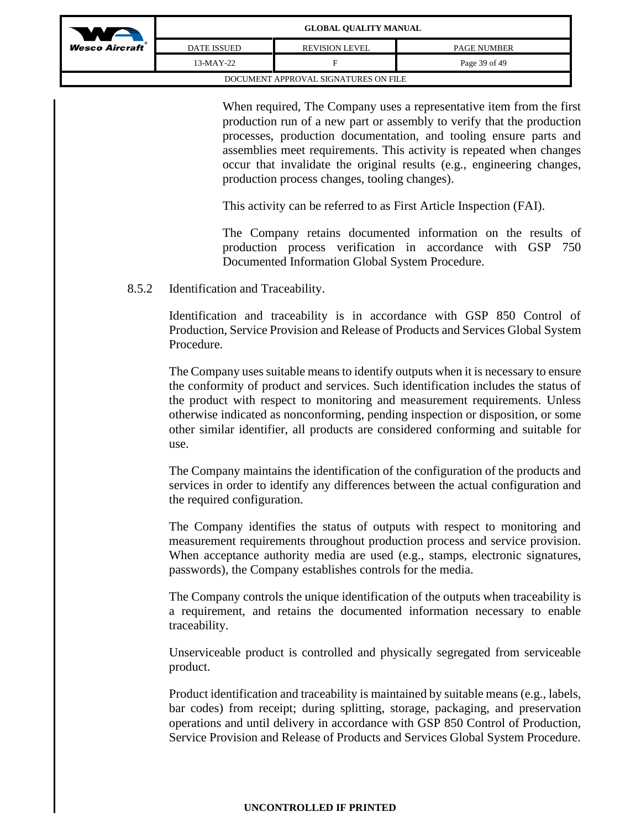| $\bullet$                            | <b>GLOBAL QUALITY MANUAL</b> |                       |                    |
|--------------------------------------|------------------------------|-----------------------|--------------------|
| <b>Wesco Aircraft</b> ®              | <b>DATE ISSUED</b>           | <b>REVISION LEVEL</b> | <b>PAGE NUMBER</b> |
|                                      | 13-MAY-22                    | Е                     | Page 39 of 49      |
| DOCUMENT APPROVAL SIGNATURES ON FILE |                              |                       |                    |

When required, The Company uses a representative item from the first production run of a new part or assembly to verify that the production processes, production documentation, and tooling ensure parts and assemblies meet requirements. This activity is repeated when changes occur that invalidate the original results (e.g., engineering changes, production process changes, tooling changes).

This activity can be referred to as First Article Inspection (FAI).

The Company retains documented information on the results of production process verification in accordance with GSP 750 Documented Information Global System Procedure.

### 8.5.2 Identification and Traceability.

Identification and traceability is in accordance with GSP 850 Control of Production, Service Provision and Release of Products and Services Global System Procedure.

The Company uses suitable means to identify outputs when it is necessary to ensure the conformity of product and services. Such identification includes the status of the product with respect to monitoring and measurement requirements. Unless otherwise indicated as nonconforming, pending inspection or disposition, or some other similar identifier, all products are considered conforming and suitable for use.

The Company maintains the identification of the configuration of the products and services in order to identify any differences between the actual configuration and the required configuration.

The Company identifies the status of outputs with respect to monitoring and measurement requirements throughout production process and service provision. When acceptance authority media are used (e.g., stamps, electronic signatures, passwords), the Company establishes controls for the media.

The Company controls the unique identification of the outputs when traceability is a requirement, and retains the documented information necessary to enable traceability.

Unserviceable product is controlled and physically segregated from serviceable product.

Product identification and traceability is maintained by suitable means (e.g., labels, bar codes) from receipt; during splitting, storage, packaging, and preservation operations and until delivery in accordance with GSP 850 Control of Production, Service Provision and Release of Products and Services Global System Procedure.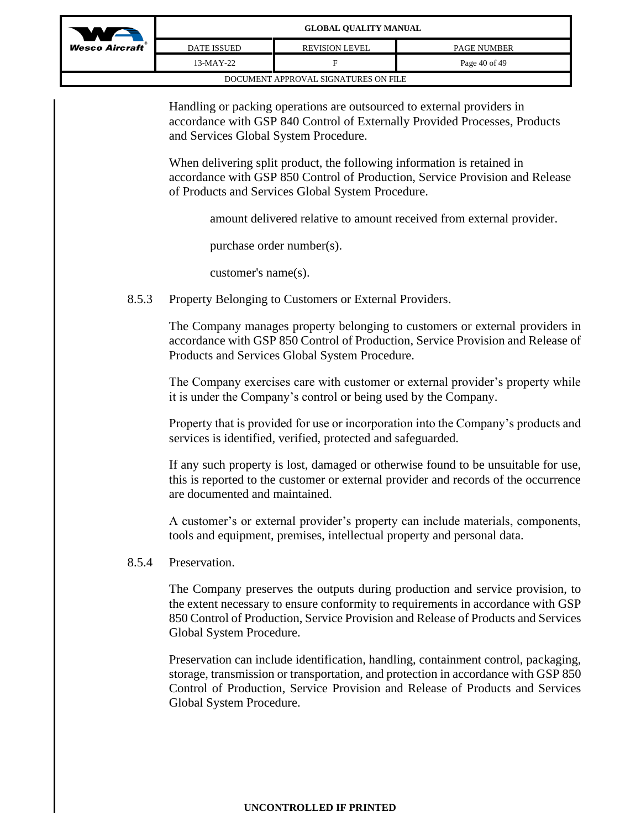| WA                                   | <b>GLOBAL QUALITY MANUAL</b> |                       |                    |
|--------------------------------------|------------------------------|-----------------------|--------------------|
| <b>Wesco Aircraft</b> ®              | <b>DATE ISSUED</b>           | <b>REVISION LEVEL</b> | <b>PAGE NUMBER</b> |
|                                      | 13-MAY-22                    | F                     | Page 40 of 49      |
| DOCUMENT APPROVAL SIGNATURES ON FILE |                              |                       |                    |

Handling or packing operations are outsourced to external providers in accordance with GSP 840 Control of Externally Provided Processes, Products and Services Global System Procedure.

When delivering split product, the following information is retained in accordance with GSP 850 Control of Production, Service Provision and Release of Products and Services Global System Procedure.

amount delivered relative to amount received from external provider.

purchase order number(s).

customer's name(s).

8.5.3 Property Belonging to Customers or External Providers.

The Company manages property belonging to customers or external providers in accordance with GSP 850 Control of Production, Service Provision and Release of Products and Services Global System Procedure.

The Company exercises care with customer or external provider's property while it is under the Company's control or being used by the Company.

Property that is provided for use or incorporation into the Company's products and services is identified, verified, protected and safeguarded.

If any such property is lost, damaged or otherwise found to be unsuitable for use, this is reported to the customer or external provider and records of the occurrence are documented and maintained.

A customer's or external provider's property can include materials, components, tools and equipment, premises, intellectual property and personal data.

### 8.5.4 Preservation.

The Company preserves the outputs during production and service provision, to the extent necessary to ensure conformity to requirements in accordance with GSP 850 Control of Production, Service Provision and Release of Products and Services Global System Procedure.

Preservation can include identification, handling, containment control, packaging, storage, transmission or transportation, and protection in accordance with GSP 850 Control of Production, Service Provision and Release of Products and Services Global System Procedure.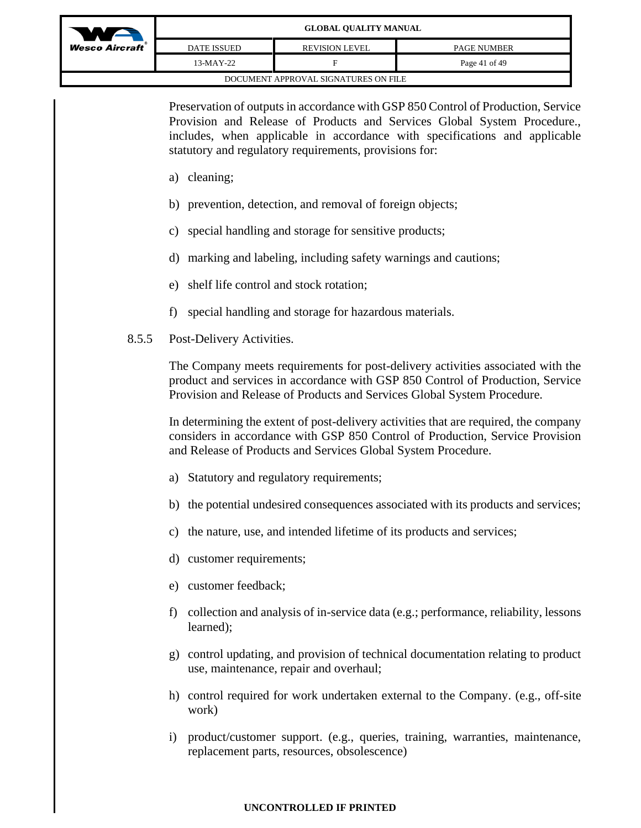| WA                                   | <b>GLOBAL QUALITY MANUAL</b> |                       |                    |
|--------------------------------------|------------------------------|-----------------------|--------------------|
| <b>Wesco Aircraft</b> ®              | <b>DATE ISSUED</b>           | <b>REVISION LEVEL</b> | <b>PAGE NUMBER</b> |
|                                      | 13-MAY-22                    |                       | Page 41 of 49      |
| DOCUMENT APPROVAL SIGNATURES ON FILE |                              |                       |                    |

Preservation of outputs in accordance with GSP 850 Control of Production, Service Provision and Release of Products and Services Global System Procedure., includes, when applicable in accordance with specifications and applicable statutory and regulatory requirements, provisions for:

- a) cleaning;
- b) prevention, detection, and removal of foreign objects;
- c) special handling and storage for sensitive products;
- d) marking and labeling, including safety warnings and cautions;
- e) shelf life control and stock rotation;
- f) special handling and storage for hazardous materials.
- 8.5.5 Post-Delivery Activities.

The Company meets requirements for post-delivery activities associated with the product and services in accordance with GSP 850 Control of Production, Service Provision and Release of Products and Services Global System Procedure.

In determining the extent of post-delivery activities that are required, the company considers in accordance with GSP 850 Control of Production, Service Provision and Release of Products and Services Global System Procedure.

- a) Statutory and regulatory requirements;
- b) the potential undesired consequences associated with its products and services;
- c) the nature, use, and intended lifetime of its products and services;
- d) customer requirements;
- e) customer feedback;
- f) collection and analysis of in-service data (e.g.; performance, reliability, lessons learned);
- g) control updating, and provision of technical documentation relating to product use, maintenance, repair and overhaul;
- h) control required for work undertaken external to the Company. (e.g., off-site work)
- i) product/customer support. (e.g., queries, training, warranties, maintenance, replacement parts, resources, obsolescence)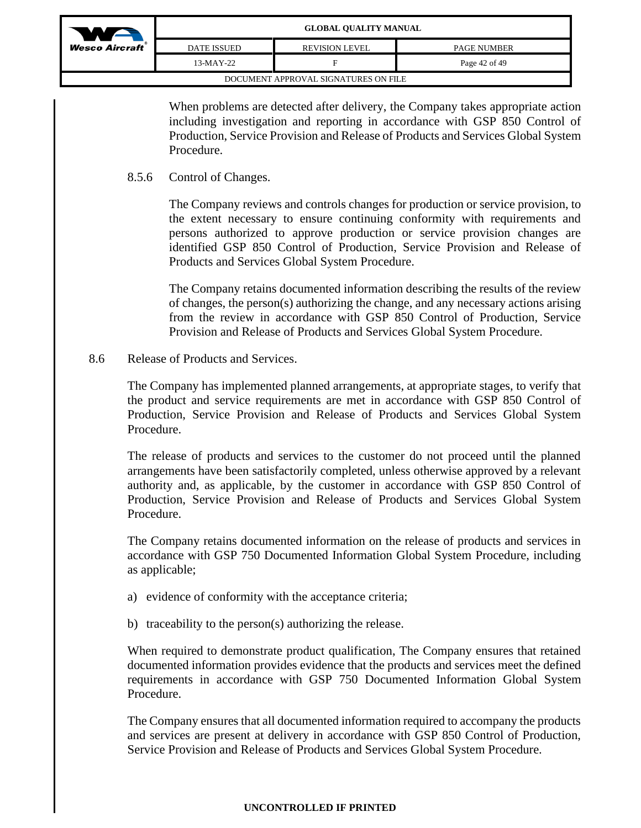| WA                                   | <b>GLOBAL QUALITY MANUAL</b> |                       |                    |
|--------------------------------------|------------------------------|-----------------------|--------------------|
| <b>Wesco Aircraft</b> ®              | <b>DATE ISSUED</b>           | <b>REVISION LEVEL</b> | <b>PAGE NUMBER</b> |
|                                      | $13-MAY-22$                  |                       | Page 42 of 49      |
| DOCUMENT APPROVAL SIGNATURES ON FILE |                              |                       |                    |

When problems are detected after delivery, the Company takes appropriate action including investigation and reporting in accordance with GSP 850 Control of Production, Service Provision and Release of Products and Services Global System Procedure.

8.5.6 Control of Changes.

The Company reviews and controls changes for production or service provision, to the extent necessary to ensure continuing conformity with requirements and persons authorized to approve production or service provision changes are identified GSP 850 Control of Production, Service Provision and Release of Products and Services Global System Procedure.

The Company retains documented information describing the results of the review of changes, the person(s) authorizing the change, and any necessary actions arising from the review in accordance with GSP 850 Control of Production, Service Provision and Release of Products and Services Global System Procedure.

8.6 Release of Products and Services.

The Company has implemented planned arrangements, at appropriate stages, to verify that the product and service requirements are met in accordance with GSP 850 Control of Production, Service Provision and Release of Products and Services Global System Procedure.

The release of products and services to the customer do not proceed until the planned arrangements have been satisfactorily completed, unless otherwise approved by a relevant authority and, as applicable, by the customer in accordance with GSP 850 Control of Production, Service Provision and Release of Products and Services Global System Procedure.

The Company retains documented information on the release of products and services in accordance with GSP 750 Documented Information Global System Procedure, including as applicable;

- a) evidence of conformity with the acceptance criteria;
- b) traceability to the person(s) authorizing the release.

When required to demonstrate product qualification, The Company ensures that retained documented information provides evidence that the products and services meet the defined requirements in accordance with GSP 750 Documented Information Global System Procedure.

The Company ensures that all documented information required to accompany the products and services are present at delivery in accordance with GSP 850 Control of Production, Service Provision and Release of Products and Services Global System Procedure.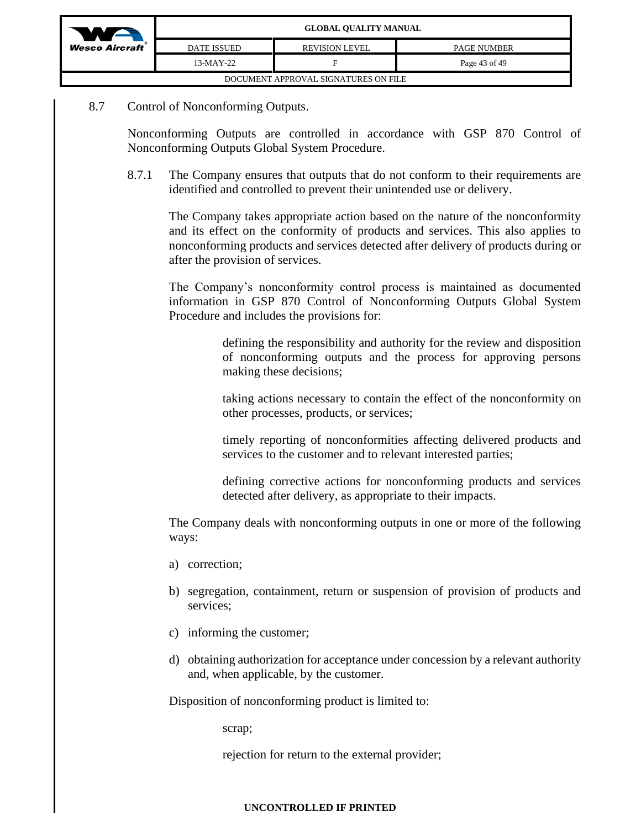| WA                                   | <b>GLOBAL QUALITY MANUAL</b> |                       |                    |  |
|--------------------------------------|------------------------------|-----------------------|--------------------|--|
| <b>Wesco Aircraft</b> ®              | DATE ISSUED                  | <b>REVISION LEVEL</b> | <b>PAGE NUMBER</b> |  |
|                                      | 13-MAY-22                    |                       | Page 43 of 49      |  |
| DOCUMENT APPROVAL SIGNATURES ON FILE |                              |                       |                    |  |

## 8.7 Control of Nonconforming Outputs.

Nonconforming Outputs are controlled in accordance with GSP 870 Control of Nonconforming Outputs Global System Procedure.

8.7.1 The Company ensures that outputs that do not conform to their requirements are identified and controlled to prevent their unintended use or delivery.

The Company takes appropriate action based on the nature of the nonconformity and its effect on the conformity of products and services. This also applies to nonconforming products and services detected after delivery of products during or after the provision of services.

The Company's nonconformity control process is maintained as documented information in GSP 870 Control of Nonconforming Outputs Global System Procedure and includes the provisions for:

> defining the responsibility and authority for the review and disposition of nonconforming outputs and the process for approving persons making these decisions;

> taking actions necessary to contain the effect of the nonconformity on other processes, products, or services;

> timely reporting of nonconformities affecting delivered products and services to the customer and to relevant interested parties;

> defining corrective actions for nonconforming products and services detected after delivery, as appropriate to their impacts.

The Company deals with nonconforming outputs in one or more of the following ways:

- a) correction;
- b) segregation, containment, return or suspension of provision of products and services;
- c) informing the customer;
- d) obtaining authorization for acceptance under concession by a relevant authority and, when applicable, by the customer.

Disposition of nonconforming product is limited to:

scrap;

rejection for return to the external provider;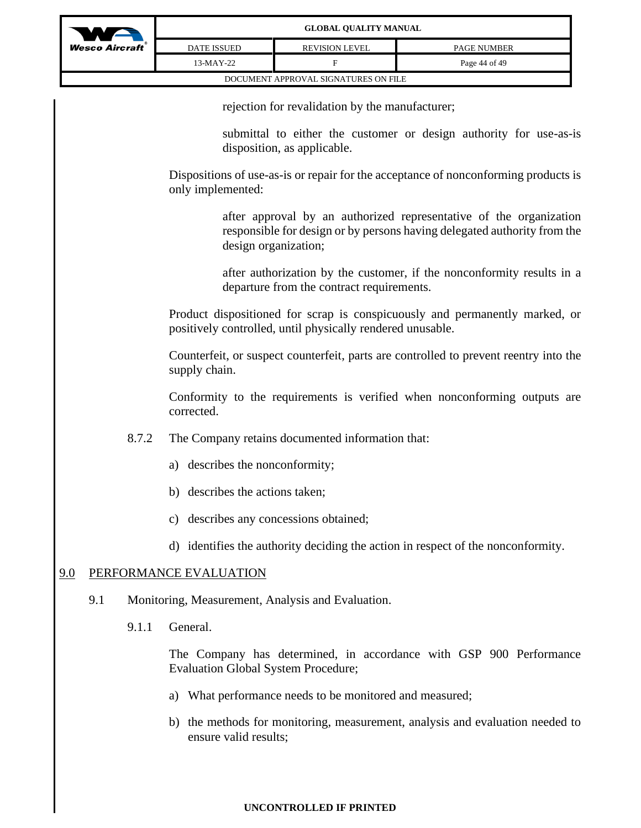

rejection for revalidation by the manufacturer;

submittal to either the customer or design authority for use-as-is disposition, as applicable.

Dispositions of use-as-is or repair for the acceptance of nonconforming products is only implemented:

> after approval by an authorized representative of the organization responsible for design or by persons having delegated authority from the design organization;

> after authorization by the customer, if the nonconformity results in a departure from the contract requirements.

Product dispositioned for scrap is conspicuously and permanently marked, or positively controlled, until physically rendered unusable.

Counterfeit, or suspect counterfeit, parts are controlled to prevent reentry into the supply chain.

Conformity to the requirements is verified when nonconforming outputs are corrected.

- 8.7.2 The Company retains documented information that:
	- a) describes the nonconformity;
	- b) describes the actions taken;
	- c) describes any concessions obtained;
	- d) identifies the authority deciding the action in respect of the nonconformity.

# 9.0 PERFORMANCE EVALUATION

- 9.1 Monitoring, Measurement, Analysis and Evaluation.
	- 9.1.1 General.

The Company has determined, in accordance with GSP 900 Performance Evaluation Global System Procedure;

- a) What performance needs to be monitored and measured;
- b) the methods for monitoring, measurement, analysis and evaluation needed to ensure valid results;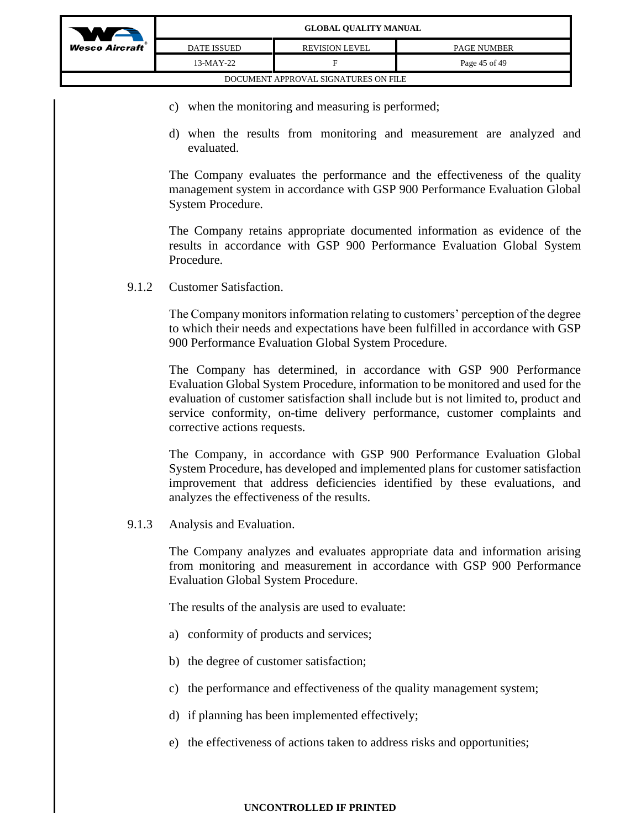

- c) when the monitoring and measuring is performed;
- d) when the results from monitoring and measurement are analyzed and evaluated.

The Company evaluates the performance and the effectiveness of the quality management system in accordance with GSP 900 Performance Evaluation Global System Procedure.

The Company retains appropriate documented information as evidence of the results in accordance with GSP 900 Performance Evaluation Global System Procedure.

9.1.2 Customer Satisfaction.

The Company monitors information relating to customers' perception of the degree to which their needs and expectations have been fulfilled in accordance with GSP 900 Performance Evaluation Global System Procedure.

The Company has determined, in accordance with GSP 900 Performance Evaluation Global System Procedure, information to be monitored and used for the evaluation of customer satisfaction shall include but is not limited to, product and service conformity, on-time delivery performance, customer complaints and corrective actions requests.

The Company, in accordance with GSP 900 Performance Evaluation Global System Procedure, has developed and implemented plans for customer satisfaction improvement that address deficiencies identified by these evaluations, and analyzes the effectiveness of the results.

9.1.3 Analysis and Evaluation.

The Company analyzes and evaluates appropriate data and information arising from monitoring and measurement in accordance with GSP 900 Performance Evaluation Global System Procedure.

The results of the analysis are used to evaluate:

- a) conformity of products and services;
- b) the degree of customer satisfaction;
- c) the performance and effectiveness of the quality management system;
- d) if planning has been implemented effectively;
- e) the effectiveness of actions taken to address risks and opportunities;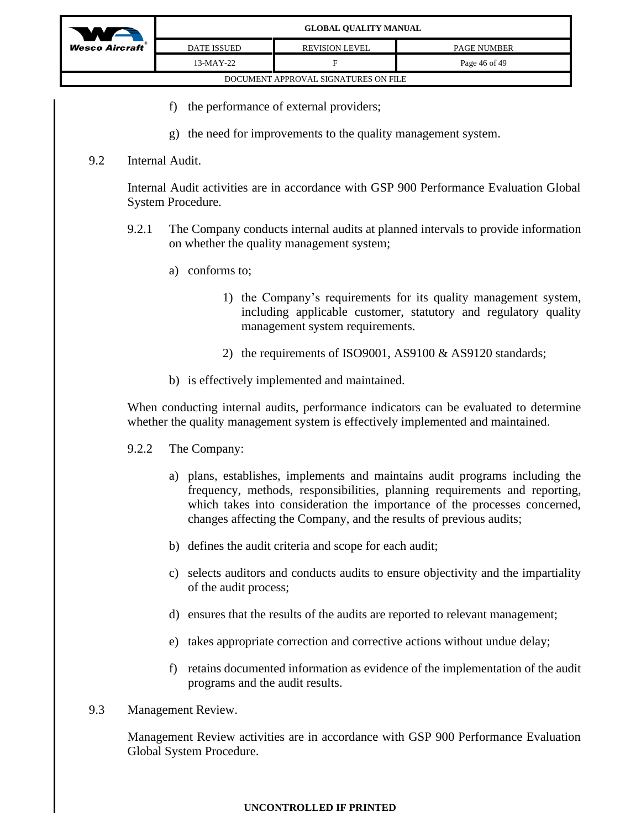

### **GLOBAL QUALITY MANUAL**

| aft | <b>DATE ISSUED</b> | <b>REVISION LEVEL</b>                | <b>PAGE NUMBER</b> |
|-----|--------------------|--------------------------------------|--------------------|
|     | 13-MAY-22          |                                      | Page 46 of 49      |
|     |                    | DOCUMENT APPROVAL SIGNATURES ON FILE |                    |

- f) the performance of external providers;
- g) the need for improvements to the quality management system.

### 9.2 Internal Audit.

Internal Audit activities are in accordance with GSP 900 Performance Evaluation Global System Procedure.

- 9.2.1 The Company conducts internal audits at planned intervals to provide information on whether the quality management system;
	- a) conforms to;
		- 1) the Company's requirements for its quality management system, including applicable customer, statutory and regulatory quality management system requirements.
		- 2) the requirements of ISO9001, AS9100 & AS9120 standards;
	- b) is effectively implemented and maintained.

When conducting internal audits, performance indicators can be evaluated to determine whether the quality management system is effectively implemented and maintained.

- 9.2.2 The Company:
	- a) plans, establishes, implements and maintains audit programs including the frequency, methods, responsibilities, planning requirements and reporting, which takes into consideration the importance of the processes concerned, changes affecting the Company, and the results of previous audits;
	- b) defines the audit criteria and scope for each audit;
	- c) selects auditors and conducts audits to ensure objectivity and the impartiality of the audit process;
	- d) ensures that the results of the audits are reported to relevant management;
	- e) takes appropriate correction and corrective actions without undue delay;
	- f) retains documented information as evidence of the implementation of the audit programs and the audit results.
- 9.3 Management Review.

Management Review activities are in accordance with GSP 900 Performance Evaluation Global System Procedure.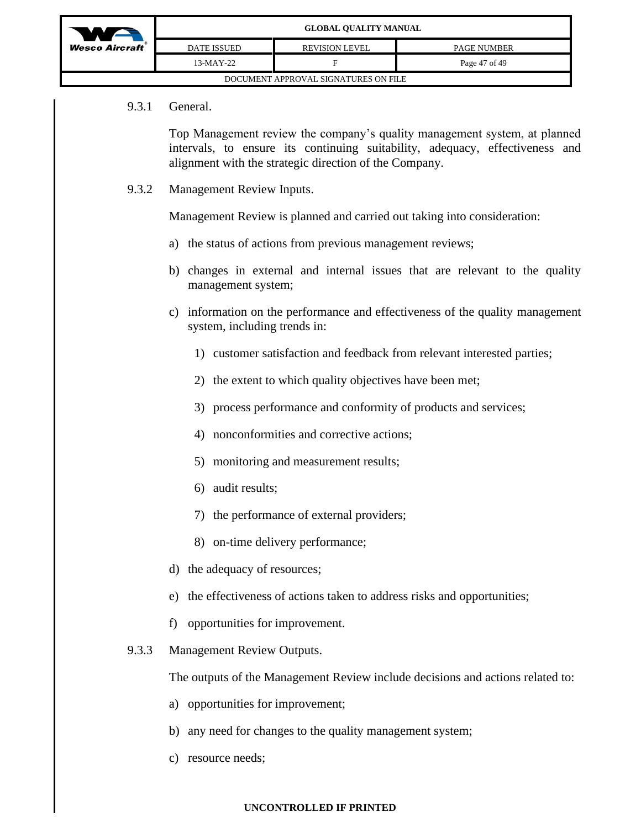| WA                                   | <b>GLOBAL QUALITY MANUAL</b> |                       |                    |  |  |  |
|--------------------------------------|------------------------------|-----------------------|--------------------|--|--|--|
| $Wesc$ Aircraft                      | <b>DATE ISSUED</b>           | <b>REVISION LEVEL</b> | <b>PAGE NUMBER</b> |  |  |  |
|                                      | $13-MAY-22$                  |                       | Page 47 of 49      |  |  |  |
| DOCUMENT APPROVAL SIGNATURES ON FILE |                              |                       |                    |  |  |  |

### 9.3.1 General.

Top Management review the company's quality management system, at planned intervals, to ensure its continuing suitability, adequacy, effectiveness and alignment with the strategic direction of the Company.

9.3.2 Management Review Inputs.

Management Review is planned and carried out taking into consideration:

- a) the status of actions from previous management reviews;
- b) changes in external and internal issues that are relevant to the quality management system;
- c) information on the performance and effectiveness of the quality management system, including trends in:
	- 1) customer satisfaction and feedback from relevant interested parties;
	- 2) the extent to which quality objectives have been met;
	- 3) process performance and conformity of products and services;
	- 4) nonconformities and corrective actions;
	- 5) monitoring and measurement results;
	- 6) audit results;
	- 7) the performance of external providers;
	- 8) on-time delivery performance;
- d) the adequacy of resources;
- e) the effectiveness of actions taken to address risks and opportunities;
- f) opportunities for improvement.
- 9.3.3 Management Review Outputs.

The outputs of the Management Review include decisions and actions related to:

- a) opportunities for improvement;
- b) any need for changes to the quality management system;
- c) resource needs;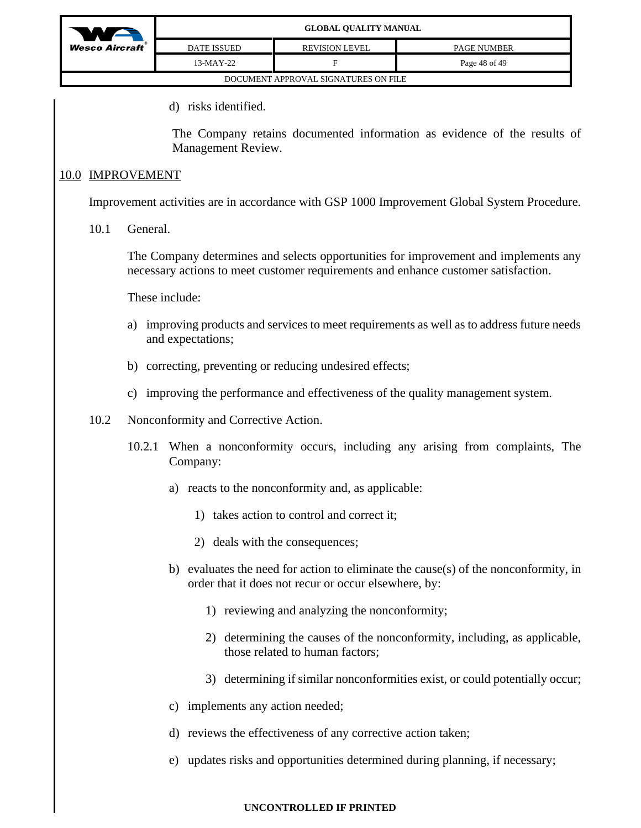

| DATE ISSUED                          | <b>REVISION LEVEL</b> | <b>PAGE NUMBER</b> |  |  |  |  |
|--------------------------------------|-----------------------|--------------------|--|--|--|--|
| 13-MAY-22                            | ы                     | Page 48 of 49      |  |  |  |  |
| DOCUMENT APPROVAL SIGNATURES ON FILE |                       |                    |  |  |  |  |

d) risks identified.

The Company retains documented information as evidence of the results of Management Review.

## 10.0 IMPROVEMENT

Improvement activities are in accordance with GSP 1000 Improvement Global System Procedure.

10.1 General.

The Company determines and selects opportunities for improvement and implements any necessary actions to meet customer requirements and enhance customer satisfaction.

These include:

- a) improving products and services to meet requirements as well as to address future needs and expectations;
- b) correcting, preventing or reducing undesired effects;
- c) improving the performance and effectiveness of the quality management system.
- 10.2 Nonconformity and Corrective Action.
	- 10.2.1 When a nonconformity occurs, including any arising from complaints, The Company:
		- a) reacts to the nonconformity and, as applicable:
			- 1) takes action to control and correct it;
			- 2) deals with the consequences;
		- b) evaluates the need for action to eliminate the cause(s) of the nonconformity, in order that it does not recur or occur elsewhere, by:
			- 1) reviewing and analyzing the nonconformity;
			- 2) determining the causes of the nonconformity, including, as applicable, those related to human factors;
			- 3) determining if similar nonconformities exist, or could potentially occur;
		- c) implements any action needed;
		- d) reviews the effectiveness of any corrective action taken;
		- e) updates risks and opportunities determined during planning, if necessary;